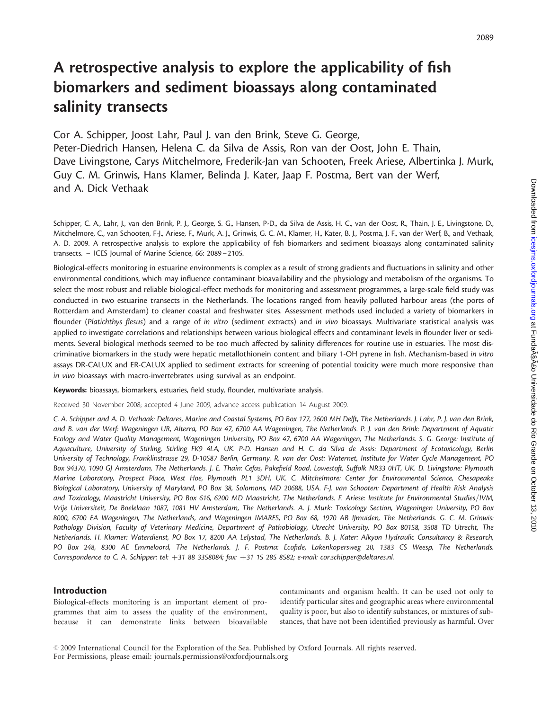# A retrospective analysis to explore the applicability of fish biomarkers and sediment bioassays along contaminated salinity transects

Cor A. Schipper, Joost Lahr, Paul J. van den Brink, Steve G. George, Peter-Diedrich Hansen, Helena C. da Silva de Assis, Ron van der Oost, John E. Thain,

Dave Livingstone, Carys Mitchelmore, Frederik-Jan van Schooten, Freek Ariese, Albertinka J. Murk, Guy C. M. Grinwis, Hans Klamer, Belinda J. Kater, Jaap F. Postma, Bert van der Werf,

and A. Dick Vethaak

Schipper, C. A., Lahr, J., van den Brink, P. J., George, S. G., Hansen, P-D., da Silva de Assis, H. C., van der Oost, R., Thain, J. E., Livingstone, D., Mitchelmore, C., van Schooten, F-J., Ariese, F., Murk, A. J., Grinwis, G. C. M., Klamer, H., Kater, B. J., Postma, J. F., van der Werf, B., and Vethaak, A. D. 2009. A retrospective analysis to explore the applicability of fish biomarkers and sediment bioassays along contaminated salinity transects. – ICES Journal of Marine Science, 66: 2089–2105.

Biological-effects monitoring in estuarine environments is complex as a result of strong gradients and fluctuations in salinity and other environmental conditions, which may influence contaminant bioavailability and the physiology and metabolism of the organisms. To select the most robust and reliable biological-effect methods for monitoring and assessment programmes, a large-scale field study was conducted in two estuarine transects in the Netherlands. The locations ranged from heavily polluted harbour areas (the ports of Rotterdam and Amsterdam) to cleaner coastal and freshwater sites. Assessment methods used included a variety of biomarkers in flounder (Platichthys flesus) and a range of in vitro (sediment extracts) and in vivo bioassays. Multivariate statistical analysis was applied to investigate correlations and relationships between various biological effects and contaminant levels in flounder liver or sediments. Several biological methods seemed to be too much affected by salinity differences for routine use in estuaries. The most discriminative biomarkers in the study were hepatic metallothionein content and biliary 1-OH pyrene in fish. Mechanism-based in vitro assays DR-CALUX and ER-CALUX applied to sediment extracts for screening of potential toxicity were much more responsive than in vivo bioassays with macro-invertebrates using survival as an endpoint.

Keywords: bioassays, biomarkers, estuaries, field study, flounder, multivariate analysis.

Received 30 November 2008; accepted 4 June 2009; advance access publication 14 August 2009.

C. A. Schipper and A. D. Vethaak: Deltares, Marine and Coastal Systems, PO Box 177, 2600 MH Delft, The Netherlands. J. Lahr, P. J. van den Brink, and B. van der Werf: Wageningen UR, Alterra, PO Box 47, 6700 AA Wageningen, The Netherlands. P. J. van den Brink: Department of Aquatic Ecology and Water Quality Management, Wageningen University, PO Box 47, 6700 AA Wageningen, The Netherlands. S. G. George: Institute of Aquaculture, University of Stirling, Stirling FK9 4LA, UK. P-D. Hansen and H. C. da Silva de Assis: Department of Ecotoxicology, Berlin University of Technology, Franklinstrasse 29, D-10587 Berlin, Germany. R. van der Oost: Waternet, Institute for Water Cycle Management, PO Box 94370, 1090 GJ Amsterdam, The Netherlands. J. E. Thain: Cefas, Pakefield Road, Lowestoft, Suffolk NR33 0HT, UK. D. Livingstone: Plymouth Marine Laboratory, Prospect Place, West Hoe, Plymouth PL1 3DH, UK. C. Mitchelmore: Center for Environmental Science, Chesapeake Biological Laboratory, University of Maryland, PO Box 38, Solomons, MD 20688, USA. F-J. van Schooten: Department of Health Risk Analysis and Toxicology, Maastricht University, PO Box 616, 6200 MD Maastricht, The Netherlands. F. Ariese: Institute for Environmental Studies/IVM, Vrije Universiteit, De Boelelaan 1087, 1081 HV Amsterdam, The Netherlands. A. J. Murk: Toxicology Section, Wageningen University, PO Box 8000, 6700 EA Wageningen, The Netherlands, and Wageningen IMARES, PO Box 68, 1970 AB IJmuiden, The Netherlands. G. C. M. Grinwis: Pathology Division, Faculty of Veterinary Medicine, Department of Pathobiology, Utrecht University, PO Box 80158, 3508 TD Utrecht, The Netherlands. H. Klamer: Waterdienst, PO Box 17, 8200 AA Lelystad, The Netherlands. B. J. Kater: Alkyon Hydraulic Consultancy & Research, PO Box 248, 8300 AE Emmeloord, The Netherlands. J. F. Postma: Ecofide, Lakenkopersweg 20, 1383 CS Weesp, The Netherlands. Correspondence to C. A. Schipper: tel: +31 88 3358084; fax: +31 15 285 8582; e-mail: cor.schipper@deltares.nl.

#### Introduction

Biological-effects monitoring is an important element of programmes that aim to assess the quality of the environment, because it can demonstrate links between bioavailable

contaminants and organism health. It can be used not only to identify particular sites and geographic areas where environmental quality is poor, but also to identify substances, or mixtures of substances, that have not been identified previously as harmful. Over

 $\odot$  2009 International Council for the Exploration of the Sea. Published by Oxford Journals. All rights reserved. For Permissions, please email: journals.permissions@oxfordjournals.org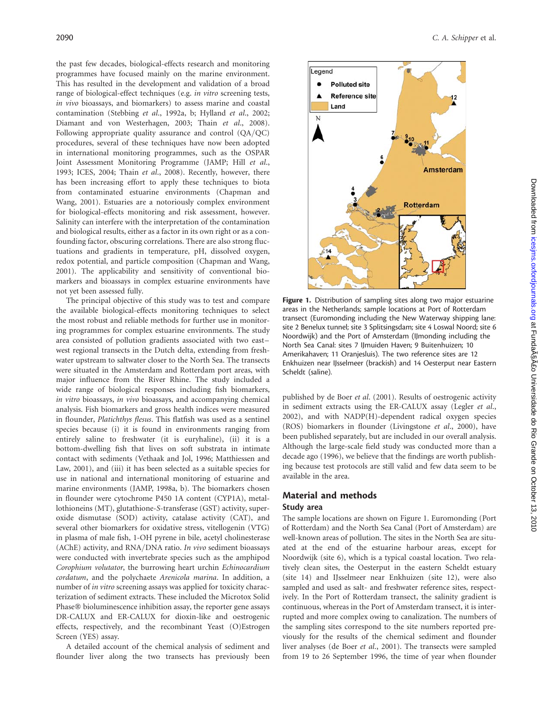the past few decades, biological-effects research and monitoring programmes have focused mainly on the marine environment. This has resulted in the development and validation of a broad range of biological-effect techniques (e.g. in vitro screening tests, in vivo bioassays, and biomarkers) to assess marine and coastal contamination (Stebbing et al., 1992a, b; Hylland et al., 2002; Diamant and von Westerhagen, 2003; Thain et al., 2008). Following appropriate quality assurance and control (QA/QC) procedures, several of these techniques have now been adopted in international monitoring programmes, such as the OSPAR Joint Assessment Monitoring Programme (JAMP; Hill et al., 1993; ICES, 2004; Thain et al., 2008). Recently, however, there has been increasing effort to apply these techniques to biota from contaminated estuarine environments (Chapman and Wang, 2001). Estuaries are a notoriously complex environment for biological-effects monitoring and risk assessment, however. Salinity can interfere with the interpretation of the contamination and biological results, either as a factor in its own right or as a confounding factor, obscuring correlations. There are also strong fluctuations and gradients in temperature, pH, dissolved oxygen, redox potential, and particle composition (Chapman and Wang, 2001). The applicability and sensitivity of conventional biomarkers and bioassays in complex estuarine environments have not yet been assessed fully.

The principal objective of this study was to test and compare the available biological-effects monitoring techniques to select the most robust and reliable methods for further use in monitoring programmes for complex estuarine environments. The study area consisted of pollution gradients associated with two east– west regional transects in the Dutch delta, extending from freshwater upstream to saltwater closer to the North Sea. The transects were situated in the Amsterdam and Rotterdam port areas, with major influence from the River Rhine. The study included a wide range of biological responses including fish biomarkers, in vitro bioassays, in vivo bioassays, and accompanying chemical analysis. Fish biomarkers and gross health indices were measured in flounder, Platichthys flesus. This flatfish was used as a sentinel species because (i) it is found in environments ranging from entirely saline to freshwater (it is euryhaline), (ii) it is a bottom-dwelling fish that lives on soft substrata in intimate contact with sediments (Vethaak and Jol, 1996; Matthiessen and Law, 2001), and (iii) it has been selected as a suitable species for use in national and international monitoring of estuarine and marine environments (JAMP, 1998a, b). The biomarkers chosen in flounder were cytochrome P450 1A content (CYP1A), metallothioneins (MT), glutathione-S-transferase (GST) activity, superoxide dismutase (SOD) activity, catalase activity (CAT), and several other biomarkers for oxidative stress, vitellogenin (VTG) in plasma of male fish, 1-OH pyrene in bile, acetyl cholinesterase (AChE) activity, and RNA/DNA ratio. In vivo sediment bioassays were conducted with invertebrate species such as the amphipod Corophium volutator, the burrowing heart urchin Echinocardium cordatum, and the polychaete Arenicola marina. In addition, a number of in vitro screening assays was applied for toxicity characterization of sediment extracts. These included the Microtox Solid Phase® bioluminescence inhibition assay, the reporter gene assays DR-CALUX and ER-CALUX for dioxin-like and oestrogenic effects, respectively, and the recombinant Yeast (O)Estrogen Screen (YES) assay.

A detailed account of the chemical analysis of sediment and flounder liver along the two transects has previously been



Figure 1. Distribution of sampling sites along two major estuarine areas in the Netherlands; sample locations at Port of Rotterdam transect (Euromonding including the New Waterway shipping lane: site 2 Benelux tunnel; site 3 Splitsingsdam; site 4 Loswal Noord; site 6 Noordwijk) and the Port of Amsterdam (IJmonding including the North Sea Canal: sites 7 IJmuiden Haven; 9 Buitenhuizen; 10 Amerikahaven; 11 Oranjesluis). The two reference sites are 12 Enkhuizen near IJsselmeer (brackish) and 14 Oesterput near Eastern Scheldt (saline).

published by de Boer et al. (2001). Results of oestrogenic activity in sediment extracts using the ER-CALUX assay (Legler et al., 2002), and with NADP(H)-dependent radical oxygen species (ROS) biomarkers in flounder (Livingstone et al., 2000), have been published separately, but are included in our overall analysis. Although the large-scale field study was conducted more than a decade ago (1996), we believe that the findings are worth publishing because test protocols are still valid and few data seem to be available in the area.

## Material and methods

## Study area

The sample locations are shown on Figure 1. Euromonding (Port of Rotterdam) and the North Sea Canal (Port of Amsterdam) are well-known areas of pollution. The sites in the North Sea are situated at the end of the estuarine harbour areas, except for Noordwijk (site 6), which is a typical coastal location. Two relatively clean sites, the Oesterput in the eastern Scheldt estuary (site 14) and IJsselmeer near Enkhuizen (site 12), were also sampled and used as salt- and freshwater reference sites, respectively. In the Port of Rotterdam transect, the salinity gradient is continuous, whereas in the Port of Amsterdam transect, it is interrupted and more complex owing to canalization. The numbers of the sampling sites correspond to the site numbers reported previously for the results of the chemical sediment and flounder liver analyses (de Boer et al., 2001). The transects were sampled from 19 to 26 September 1996, the time of year when flounder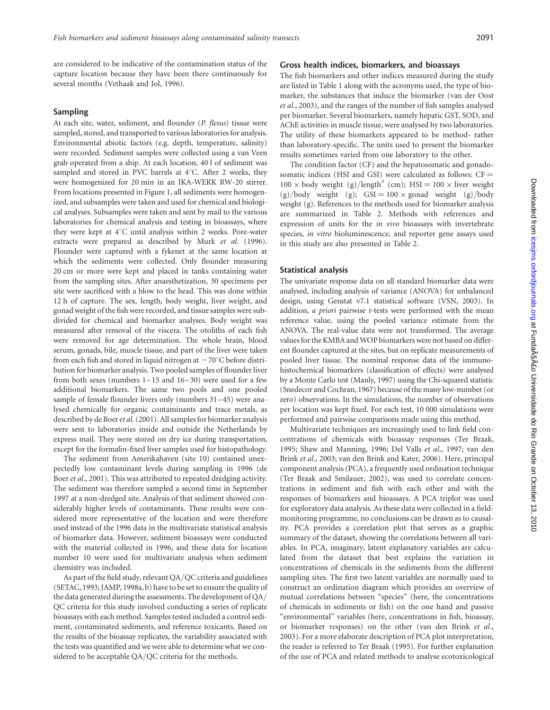are considered to be indicative of the contamination status of the capture location because they have been there continuously for several months (Vethaak and Jol, 1996).

#### Sampling

At each site, water, sediment, and flounder (P. flesus) tissue were sampled, stored, and transported to various laboratories for analysis. Environmental abiotic factors (e.g. depth, temperature, salinity) were recorded. Sediment samples were collected using a van Veen grab operated from a ship. At each location, 40 l of sediment was sampled and stored in PVC barrels at  $4^{\circ}$ C. After 2 weeks, they were homogenized for 20 min in an IKA-WERK RW-20 stirrer. From locations presented in Figure 1, all sediments were homogenized, and subsamples were taken and used for chemical and biological analyses. Subsamples were taken and sent by mail to the various laboratories for chemical analysis and testing in bioassays, where they were kept at  $4^{\circ}$ C until analysis within 2 weeks. Pore-water extracts were prepared as described by Murk et al. (1996). Flounder were captured with a fykenet at the same location at which the sediments were collected. Only flounder measuring 20 cm or more were kept and placed in tanks containing water from the sampling sites. After anaesthetization, 30 specimens per site were sacrificed with a blow to the head. This was done within 12 h of capture. The sex, length, body weight, liver weight, and gonad weight of the fish were recorded, and tissue samples were subdivided for chemical and biomarker analyses. Body weight was measured after removal of the viscera. The otoliths of each fish were removed for age determination. The whole brain, blood serum, gonads, bile, muscle tissue, and part of the liver were taken from each fish and stored in liquid nitrogen at  $-70^{\circ}$ C before distribution for biomarker analysis. Two pooled samples of flounder liver from both sexes (numbers 1–15 and 16–30) were used for a few additional biomarkers. The same two pools and one pooled sample of female flounder livers only (numbers 31–45) were analysed chemically for organic contaminants and trace metals, as described by de Boer et al. (2001). All samples for biomarker analysis were sent to laboratories inside and outside the Netherlands by express mail. They were stored on dry ice during transportation, except for the formalin-fixed liver samples used for histopathology.

The sediment from Amerikahaven (site 10) contained unexpectedly low contaminant levels during sampling in 1996 (de Boer et al., 2001). This was attributed to repeated dredging activity. The sediment was therefore sampled a second time in September 1997 at a non-dredged site. Analysis of that sediment showed considerably higher levels of contaminants. These results were considered more representative of the location and were therefore used instead of the 1996 data in the multivariate statistical analysis of biomarker data. However, sediment bioassays were conducted with the material collected in 1996, and these data for location number 10 were used for multivariate analysis when sediment chemistry was included.

As part of the field study, relevant QA/QC criteria and guidelines (SETAC, 1993; JAMP, 1998a, b) have to be set to ensure the quality of the data generated during the assessments. The development of QA/ QC criteria for this study involved conducting a series of replicate bioassays with each method. Samples tested included a control sediment, contaminated sediments, and reference toxicants. Based on the results of the bioassay replicates, the variability associated with the tests was quantified and we were able to determine what we considered to be acceptable QA/QC criteria for the methods.

#### Gross health indices, biomarkers, and bioassays

The fish biomarkers and other indices measured during the study are listed in Table 1 along with the acronyms used, the type of biomarker, the substances that induce the biomarker (van der Oost et al., 2003), and the ranges of the number of fish samples analysed per biomarker. Several biomarkers, namely hepatic GST, SOD, and AChE activities in muscle tissue, were analysed by two laboratories. The utility of these biomarkers appeared to be method- rather than laboratory-specific. The units used to present the biomarker results sometimes varied from one laboratory to the other.

The condition factor (CF) and the hepatosomatic and gonadosomatic indices (HSI and GSI) were calculated as follows:  $CF =$  $100 \times$  body weight (g)/length<sup>3</sup> (cm); HSI =  $100 \times$  liver weight  $(g)/body$  weight (g); GSI = 100  $\times$  gonad weight (g)/body weight (g). References to the methods used for biomarker analysis are summarized in Table 2. Methods with references and expression of units for the in vivo bioassays with invertebrate species, in vitro bioluminescence, and reporter gene assays used in this study are also presented in Table 2.

#### Statistical analysis

The univariate response data on all standard biomarker data were analysed, including analysis of variance (ANOVA) for unbalanced design, using Genstat v7.1 statistical software (VSN, 2003). In addition,  $a$  priori pairwise  $t$ -tests were performed with the mean reference value, using the pooled variance estimate from the ANOVA. The real-value data were not transformed. The average values for the KMBA and WOP biomarkers were not based on different flounder captured at the sites, but on replicate measurements of pooled liver tissue. The nominal response data of the immunohistochemical biomarkers (classification of effects) were analysed by a Monte Carlo test (Manly, 1997) using the Chi-squared statistic (Snedecor and Cochran, 1967) because of the many low-number (or zero) observations. In the simulations, the number of observations per location was kept fixed. For each test, 10 000 simulations were performed and pairwise comparisons made using this method.

Multivariate techniques are increasingly used to link field concentrations of chemicals with bioassay responses (Ter Braak, 1995; Shaw and Manning, 1996; Del Valls et al., 1997; van den Brink et al., 2003; van den Brink and Kater, 2006). Here, principal component analysis (PCA), a frequently used ordination technique (Ter Braak and Smilauer, 2002), was used to correlate concentrations in sediment and fish with each other and with the responses of biomarkers and bioassays. A PCA triplot was used for exploratory data analysis. As these data were collected in a fieldmonitoring programme, no conclusions can be drawn as to causality. PCA provides a correlation plot that serves as a graphic summary of the dataset, showing the correlations between all variables. In PCA, imaginary, latent explanatory variables are calculated from the dataset that best explains the variation in concentrations of chemicals in the sediments from the different sampling sites. The first two latent variables are normally used to construct an ordination diagram which provides an overview of mutual correlations between "species" (here, the concentrations of chemicals in sediments or fish) on the one hand and passive "environmental" variables (here, concentrations in fish, bioassay, or biomarker responses) on the other (van den Brink et al., 2003). For a more elaborate description of PCA plot interpretation, the reader is referred to Ter Braak (1995). For further explanation of the use of PCA and related methods to analyse ecotoxicological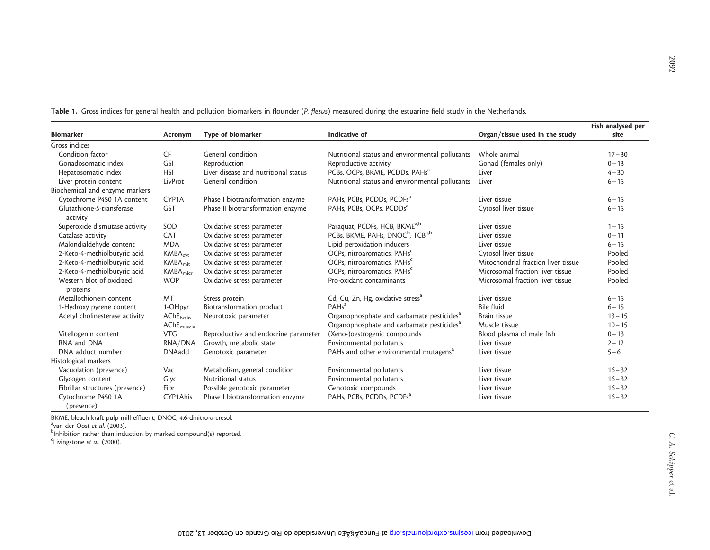|                                       |                        |                                      |                                                          |                                     | Fish analysed per |
|---------------------------------------|------------------------|--------------------------------------|----------------------------------------------------------|-------------------------------------|-------------------|
| <b>Biomarker</b>                      | Acronym                | Type of biomarker                    | Indicative of                                            | Organ/tissue used in the study      | site              |
| Gross indices                         |                        |                                      |                                                          |                                     |                   |
| Condition factor                      | <b>CF</b>              | General condition                    | Nutritional status and environmental pollutants          | Whole animal                        | $17 - 30$         |
| Gonadosomatic index                   | <b>GSI</b>             | Reproduction                         | Reproductive activity                                    | Gonad (females only)                | $0 - 13$          |
| Hepatosomatic index                   | <b>HSI</b>             | Liver disease and nutritional status | PCBs, OCPs, BKME, PCDDs, PAHs <sup>a</sup>               | Liver                               | $4 - 30$          |
| Liver protein content                 | LivProt                | General condition                    | Nutritional status and environmental pollutants          | Liver                               | $6 - 15$          |
| Biochemical and enzyme markers        |                        |                                      |                                                          |                                     |                   |
| Cytochrome P450 1A content            | CYP <sub>1</sub> A     | Phase I biotransformation enzyme     | PAHs, PCBs, PCDDs, PCDFs <sup>a</sup>                    | Liver tissue                        | $6 - 15$          |
| Glutathione-S-transferase<br>activity | <b>GST</b>             | Phase II biotransformation enzyme    | PAHs, PCBs, OCPs, PCDDs <sup>a</sup>                     | Cytosol liver tissue                | $6 - 15$          |
| Superoxide dismutase activity         | SOD                    | Oxidative stress parameter           | Paraquat, PCDFs, HCB, BKME <sup>a,b</sup>                | Liver tissue                        | $1 - 15$          |
| Catalase activity                     | CAT                    | Oxidative stress parameter           | PCBs, BKME, PAHs, DNOC <sup>b</sup> , TCB <sup>a,b</sup> | Liver tissue                        | $0 - 11$          |
| Malondialdehyde content               | <b>MDA</b>             | Oxidative stress parameter           | Lipid peroxidation inducers                              | Liver tissue                        | $6 - 15$          |
| 2-Keto-4-methiolbutyric acid          | $KMBA_{\text{cvr}}$    | Oxidative stress parameter           | OCPs, nitroaromatics, PAHs <sup>c</sup>                  | Cytosol liver tissue                | Pooled            |
| 2-Keto-4-methiolbutyric acid          | KMBA <sub>mit</sub>    | Oxidative stress parameter           | OCPs, nitroaromatics, PAHs <sup>c</sup>                  | Mitochondrial fraction liver tissue | Pooled            |
| 2-Keto-4-methiolbutyric acid          | KMBA <sub>micr</sub>   | Oxidative stress parameter           | OCPs, nitroaromatics, PAHs <sup>c</sup>                  | Microsomal fraction liver tissue    | Pooled            |
| Western blot of oxidized<br>proteins  | <b>WOP</b>             | Oxidative stress parameter           | Pro-oxidant contaminants                                 | Microsomal fraction liver tissue    | Pooled            |
| Metallothionein content               | MT                     | Stress protein                       | Cd, Cu, Zn, Hg, oxidative stress <sup>a</sup>            | Liver tissue                        | $6 - 15$          |
| 1-Hydroxy pyrene content              | 1-OHpyr                | Biotransformation product            | <b>PAHs<sup>a</sup></b>                                  | <b>Bile fluid</b>                   | $6 - 15$          |
| Acetyl cholinesterase activity        | AChE <sub>brain</sub>  | Neurotoxic parameter                 | Organophosphate and carbamate pesticides <sup>a</sup>    | Brain tissue                        | $13 - 15$         |
|                                       | AChE <sub>muscle</sub> |                                      | Organophosphate and carbamate pesticides <sup>a</sup>    | Muscle tissue                       | $10 - 15$         |
| Vitellogenin content                  | <b>VTG</b>             | Reproductive and endocrine parameter | (Xeno-)oestrogenic compounds                             | Blood plasma of male fish           | $0 - 13$          |
| RNA and DNA                           | RNA/DNA                | Growth, metabolic state              | Environmental pollutants                                 | Liver tissue                        | $2 - 12$          |
| DNA adduct number                     | <b>DNAadd</b>          | Genotoxic parameter                  | PAHs and other environmental mutagens <sup>a</sup>       | Liver tissue                        | $5 - 6$           |
| Histological markers                  |                        |                                      |                                                          |                                     |                   |
| Vacuolation (presence)                | Vac                    | Metabolism, general condition        | Environmental pollutants                                 | Liver tissue                        | $16 - 32$         |
| Glycogen content                      | Glyc                   | Nutritional status                   | Environmental pollutants                                 | Liver tissue                        | $16 - 32$         |
| Fibrillar structures (presence)       | Fibr                   | Possible genotoxic parameter         | Genotoxic compounds                                      | Liver tissue                        | $16 - 32$         |
| Cytochrome P450 1A<br>(presence)      | CYP1Ahis               | Phase I biotransformation enzyme     | PAHs, PCBs, PCDDs, PCDFs <sup>a</sup>                    | Liver tissue                        | $16 - 32$         |

**Table 1.** Gross indices for general health and pollution biomarkers in flounder (P. flesus) measured during the estuarine field study in the Netherlands.

BKME, bleach kraft pulp mill effluent; DNOC, 4,6-dinitro-o-cresol.

<sup>a</sup>van der Oost *et al*. (2003).

 $b$ Inhibition rather than induction by marked compound(s) reported. <sup>c</sup>Livingstone et al. (2000).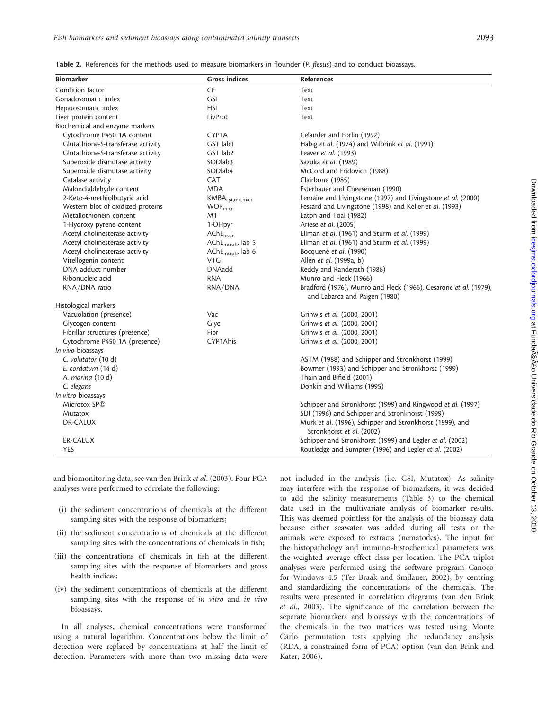| <b>Biomarker</b>                   | <b>Gross indices</b>                  | <b>References</b>                                                                                 |
|------------------------------------|---------------------------------------|---------------------------------------------------------------------------------------------------|
| Condition factor                   | <b>CF</b>                             | Text                                                                                              |
| Gonadosomatic index                | <b>GSI</b>                            | Text                                                                                              |
| Hepatosomatic index                | <b>HSI</b>                            | Text                                                                                              |
| Liver protein content              | LivProt                               | Text                                                                                              |
| Biochemical and enzyme markers     |                                       |                                                                                                   |
| Cytochrome P450 1A content         | CYP1A                                 | Celander and Forlin (1992)                                                                        |
| Glutathione-S-transferase activity | GST lab1                              | Habig et al. (1974) and Wilbrink et al. (1991)                                                    |
| Glutathione-S-transferase activity | GST lab2                              | Leaver et al. (1993)                                                                              |
| Superoxide dismutase activity      | SODlab <sub>3</sub>                   | Sazuka et al. (1989)                                                                              |
| Superoxide dismutase activity      | SODlab4                               | McCord and Fridovich (1988)                                                                       |
| Catalase activity                  | <b>CAT</b>                            | Clairbone (1985)                                                                                  |
| Malondialdehyde content            | <b>MDA</b>                            | Esterbauer and Cheeseman (1990)                                                                   |
| 2-Keto-4-methiolbutyric acid       | $\mathsf{KMBA}_\mathsf{cyt,mit,micr}$ | Lemaire and Livingstone (1997) and Livingstone et al. (2000)                                      |
| Western blot of oxidized proteins  | WOP <sub>micr</sub>                   | Fessard and Livingstone (1998) and Keller et al. (1993)                                           |
| Metallothionein content            | <b>MT</b>                             | Eaton and Toal (1982)                                                                             |
| 1-Hydroxy pyrene content           | 1-OHpyr                               | Ariese et al. (2005)                                                                              |
| Acetyl cholinesterase activity     | AChE <sub>brain</sub>                 | Ellman et al. (1961) and Sturm et al. (1999)                                                      |
| Acetyl cholinesterase activity     | AChE <sub>muscle</sub> lab 5          | Ellman et al. (1961) and Sturm et al. (1999)                                                      |
| Acetyl cholinesterase activity     | $AChEmuscle$ lab 6                    | Bocquené et al. (1990)                                                                            |
| Vitellogenin content               | <b>VTG</b>                            | Allen et al. (1999a, b)                                                                           |
| DNA adduct number                  | <b>DNAadd</b>                         | Reddy and Randerath (1986)                                                                        |
| Ribonucleic acid                   | <b>RNA</b>                            | Munro and Fleck (1966)                                                                            |
| RNA/DNA ratio                      | RNA/DNA                               | Bradford (1976), Munro and Fleck (1966), Cesarone et al. (1979),<br>and Labarca and Paigen (1980) |
| Histological markers               |                                       |                                                                                                   |
| Vacuolation (presence)             | Vac                                   | Grinwis et al. (2000, 2001)                                                                       |
| Glycogen content                   | Glyc                                  | Grinwis et al. (2000, 2001)                                                                       |
| Fibrillar structures (presence)    | Fibr                                  | Grinwis et al. (2000, 2001)                                                                       |
| Cytochrome P450 1A (presence)      | CYP1Ahis                              | Grinwis et al. (2000, 2001)                                                                       |
| In vivo bioassays                  |                                       |                                                                                                   |
| C. volutator (10 d)                |                                       | ASTM (1988) and Schipper and Stronkhorst (1999)                                                   |
| E. cordatum (14 d)                 |                                       | Bowmer (1993) and Schipper and Stronkhorst (1999)                                                 |
| A. marina (10 d)                   |                                       | Thain and Bifield (2001)                                                                          |
| C. elegans                         |                                       | Donkin and Williams (1995)                                                                        |
| In vitro bioassays                 |                                       |                                                                                                   |
| Microtox SP®                       |                                       | Schipper and Stronkhorst (1999) and Ringwood et al. (1997)                                        |
| Mutatox                            |                                       | SDI (1996) and Schipper and Stronkhorst (1999)                                                    |
| DR-CALUX                           |                                       | Murk et al. (1996), Schipper and Stronkhorst (1999), and                                          |
|                                    |                                       | Stronkhorst et al. (2002)                                                                         |
| <b>ER-CALUX</b>                    |                                       | Schipper and Stronkhorst (1999) and Legler et al. (2002)                                          |
| <b>YES</b>                         |                                       | Routledge and Sumpter (1996) and Legler et al. (2002)                                             |

and biomonitoring data, see van den Brink et al. (2003). Four PCA analyses were performed to correlate the following:

- (i) the sediment concentrations of chemicals at the different sampling sites with the response of biomarkers;
- (ii) the sediment concentrations of chemicals at the different sampling sites with the concentrations of chemicals in fish;
- (iii) the concentrations of chemicals in fish at the different sampling sites with the response of biomarkers and gross health indices;
- (iv) the sediment concentrations of chemicals at the different sampling sites with the response of in vitro and in vivo bioassays.

In all analyses, chemical concentrations were transformed using a natural logarithm. Concentrations below the limit of detection were replaced by concentrations at half the limit of detection. Parameters with more than two missing data were

not included in the analysis (i.e. GSI, Mutatox). As salinity may interfere with the response of biomarkers, it was decided to add the salinity measurements (Table 3) to the chemical data used in the multivariate analysis of biomarker results. This was deemed pointless for the analysis of the bioassay data because either seawater was added during all tests or the animals were exposed to extracts (nematodes). The input for the histopathology and immuno-histochemical parameters was the weighted average effect class per location. The PCA triplot analyses were performed using the software program Canoco for Windows 4.5 (Ter Braak and Smilauer, 2002), by centring and standardizing the concentrations of the chemicals. The results were presented in correlation diagrams (van den Brink et al., 2003). The significance of the correlation between the separate biomarkers and bioassays with the concentrations of the chemicals in the two matrices was tested using Monte Carlo permutation tests applying the redundancy analysis (RDA, a constrained form of PCA) option (van den Brink and Kater, 2006).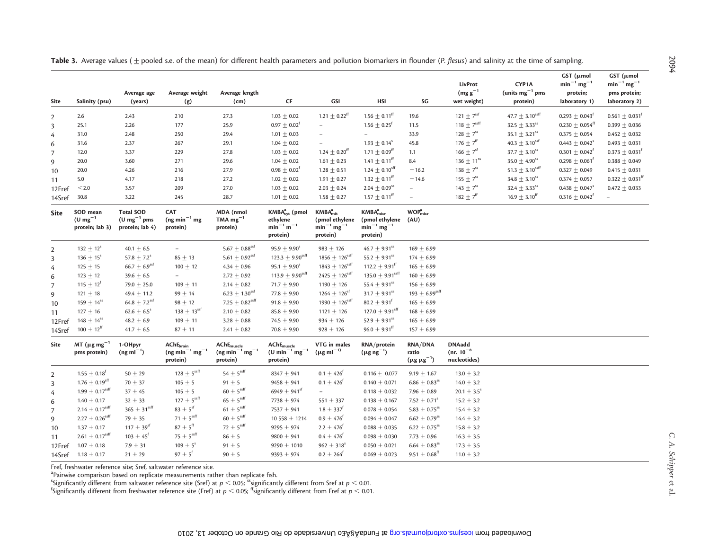|                |                                               |                                                               |                                                                                                     |                                                                    |                                                                        |                                                                                      |                                                                                        |                                                 |                                                  |                                  | GST (µmol                       | GST (µmol                           |
|----------------|-----------------------------------------------|---------------------------------------------------------------|-----------------------------------------------------------------------------------------------------|--------------------------------------------------------------------|------------------------------------------------------------------------|--------------------------------------------------------------------------------------|----------------------------------------------------------------------------------------|-------------------------------------------------|--------------------------------------------------|----------------------------------|---------------------------------|-------------------------------------|
|                |                                               |                                                               |                                                                                                     |                                                                    |                                                                        |                                                                                      |                                                                                        |                                                 | LivProt                                          | CYP1A                            | $min^{-1} mg^{-1}$              | $\text{min}^{-1} \, \text{mg}^{-1}$ |
| Site           | Salinity (psu)                                | Average age<br>(years)                                        | Average weight<br>(g)                                                                               | Average length<br>(cm)                                             | CF                                                                     | GSI                                                                                  | <b>HSI</b>                                                                             | SG                                              | $(mg g^{-1})$<br>wet weight)                     | (units $mg^{-1}$ pms<br>protein) | protein;<br>laboratory 1)       | pms protein;<br>laboratory 2)       |
|                |                                               |                                                               |                                                                                                     |                                                                    |                                                                        |                                                                                      |                                                                                        |                                                 |                                                  |                                  |                                 |                                     |
| $\overline{2}$ | 2.6                                           | 2.43                                                          | 210                                                                                                 | 27.3                                                               | $1.03 \pm 0.02$                                                        | $1.21\pm0.22^{\text{ff}}$                                                            | $1.56\pm0.11^{\text{ff}}$                                                              | 19.6                                            | 121 $\pm$ 7 <sup>ssf</sup>                       | 47.7 $\pm$ 3.10ssff              | $0.293 \pm 0.043$ <sup>t</sup>  | $0.561 \pm 0.031$ <sup>f</sup>      |
| 3              | 25.1                                          | 2.26                                                          | 177                                                                                                 | 25.9                                                               | $0.97 \pm 0.02^{\dagger}$                                              | $\overline{\phantom{a}}$                                                             | $1.56 \pm 0.25$ <sup>f</sup>                                                           | 11.5                                            | 118 $\pm$ 7ssff                                  | $32.5 \pm 3.33$ <sup>ss</sup>    | $0.230 \pm 0.054$ <sup>tt</sup> | 0.399 $\pm$ 0.036                   |
| 4              | 31.0                                          | 2.48                                                          | 250                                                                                                 | 29.4                                                               | $1.01 \pm 0.03$                                                        |                                                                                      |                                                                                        | 33.9                                            | $128 \pm 7^{ss}$                                 | 35.1 $\pm$ 3.21 <sup>ss</sup>    | $0.375 \pm 0.054$               | $0.452 \pm 0.032$                   |
| 6              | 31.6                                          | 2.37                                                          | 267                                                                                                 | 29.1                                                               | $1.04 \pm 0.02$                                                        |                                                                                      | $1.93 \pm 0.14$ <sup>s</sup>                                                           | 45.8                                            | 176 $\pm$ 7 <sup>ff</sup>                        | $40.3 \pm 3.10^{ssf}$            | $0.443 \pm 0.042$ <sup>s</sup>  | $0.493 \pm 0.031$                   |
| 7              | 12.0                                          | 3.37                                                          | 229                                                                                                 | 27.8                                                               | $1.03 \pm 0.02$                                                        | $1.24 \pm 0.20^{\rm ff}$                                                             | $1.71 \pm 0.09$ <sup>ff</sup>                                                          | 1.1                                             | 166 $\pm 7$ <sup>sf</sup>                        | $37.7\pm3.10^\text{ss}$          | $0.301 \pm 0.042^{\dagger}$     | $0.373 \pm 0.031$ <sup>f</sup>      |
| 9              | 20.0                                          | 3.60                                                          | 271                                                                                                 | 29.6                                                               | $1.04 \pm 0.02$                                                        | $1.61 \pm 0.23$                                                                      | $1.41 \pm 0.11$ <sup>ff</sup>                                                          | 8.4                                             | 136 $\pm$ 11ss                                   | $35.0 \pm 4.90$ <sup>ss</sup>    | $0.298 \pm 0.061$               | $0.388 \pm 0.049$                   |
| 10             | 20.0                                          | 4.26                                                          | 216                                                                                                 | 27.9                                                               | $0.98 \pm 0.02^{\text{T}}$                                             | $1.28 \pm 0.51$                                                                      | $1.24 \pm 0.10^{sff}$                                                                  | $-16.2$                                         | 138 $\pm$ 7 <sup>ss</sup>                        | 51.3 $\pm$ 3.10ssff              | $0.327 \pm 0.049$               | $0.415 \pm 0.031$                   |
| 11             | 5.0                                           | 4.17                                                          | 218                                                                                                 | 27.2                                                               | $1.02 \pm 0.02$                                                        | $1.91 \pm 0.27$                                                                      | $1.32\pm0.11^{\text{ff}}$                                                              | $-14.6$                                         | 155 $\pm$ 7 <sup>ss</sup>                        | $34.8\pm3.10^\text{ss}$          | $0.374 \pm 0.057$               | $0.322 \pm 0.031$ <sup>ff</sup>     |
| 12Fref         | $<$ 2.0 $\,$                                  | 3.57                                                          | 209                                                                                                 | 27.0                                                               | $1.03 \pm 0.02$                                                        | $2.03 \pm 0.24$                                                                      | $2.04 \pm 0.09$ <sup>ss</sup>                                                          | $\overline{\phantom{a}}$                        | $143 \pm 7$ <sup>ss</sup>                        | $32.4 \pm 3.33$ <sup>ss</sup>    | $0.438 \pm 0.047$ <sup>s</sup>  | $0.472 \pm 0.033$                   |
| 14Sref         | 30.8                                          | 3.22                                                          | 245                                                                                                 | 28.7                                                               | $1.01 \pm 0.02$                                                        | $1.58 \pm 0.27$                                                                      | $1.57 \pm 0.11^{\text{ff}}$                                                            | $\overline{\phantom{a}}$                        | 182 $\pm$ 7 <sup>ff</sup>                        | $16.9 \pm 3.10^{ff}$             | $0.316 \pm 0.042$ <sup>f</sup>  | $\overline{\phantom{0}}$            |
| Site           | SOD mean<br>(U mg $^{-1}$<br>protein; lab 3)  | <b>Total SOD</b><br>$(U \, mg^{-1} \, pms$<br>protein; lab 4) | <b>CAT</b><br>$(ng min-1 mg)$<br>protein)                                                           | MDA (nmol<br>TMA $mg^{-1}$<br>protein)                             | KMBA <sub>cyt</sub> (pmol<br>ethylene<br>$min^{-1} m^{-1}$<br>protein) | KMBA <sub>mit</sub> <sup>a</sup><br>(pmol ethylene<br>$min^{-1} mg^{-1}$<br>protein) | KMBA <sub>micro</sub> <sup>a</sup><br>(pmol ethylene<br>$min^{-1} mg^{-1}$<br>protein) | WOP <sub>micro</sub> <sup>a</sup><br>(AU)       |                                                  |                                  |                                 |                                     |
| $\overline{2}$ | $132 \pm 12^{s}$                              | 40.1 $\pm$ 6.5                                                | $-$                                                                                                 | $5.67\pm0.88^\text{ssf}$                                           | $95.9 \pm 9.90^s$                                                      | $983 \pm 126$                                                                        | 46.7 $\pm$ 9.91ss                                                                      | $169 \pm 6.99$                                  |                                                  |                                  |                                 |                                     |
| 3              | $136 \pm 15^{s}$                              | 57.8 $\pm$ 7.2 <sup>s</sup>                                   | $85 \pm 13$                                                                                         | $5.61\pm0.92^\text{ssf}$                                           | 123.3 $\pm$ 9.90ssff                                                   | 1856 $\pm$ 126ssff                                                                   | 55.2 $\pm$ 9.91ss                                                                      | $174 \pm 6.99$                                  |                                                  |                                  |                                 |                                     |
| 4              | $125 \pm 15$                                  | 66.7 $\pm$ 6.9ssf                                             | $100 + 12$                                                                                          | $4.34 \pm 0.96$                                                    | $95.1 \pm 9.90^s$                                                      | 1843 $\pm$ 126ssff                                                                   | 112.2 $\pm$ 9.91 <sup>ff</sup>                                                         | $165 \pm 6.99$                                  |                                                  |                                  |                                 |                                     |
| 6              | $123 \pm 12$                                  | 39.6 $\pm$ 6.5                                                | $\overline{\phantom{0}}$                                                                            | $2.72 \pm 0.92$                                                    | 113.9 $\pm$ 9.90 <sup>ssff</sup>                                       | 2425 $\pm$ 126ssff                                                                   | 135.0 $\pm$ 9.91ssff                                                                   | $160 \pm 6.99$                                  |                                                  |                                  |                                 |                                     |
| 7              | $115 \pm 12^{t}$                              | 79.0 $\pm$ 25.0                                               | $109 + 11$                                                                                          | $2.14 \pm 0.82$                                                    | 71.7 $\pm$ 9.90                                                        | 1190 $\pm$ 126                                                                       | 55.4 $\pm$ 9.91 <sup>ss</sup>                                                          | $156 \pm 6.99$                                  |                                                  |                                  |                                 |                                     |
| 9              | $121 \pm 18$                                  | 49.4 $\pm$ 11.2                                               | $99 \pm 14$                                                                                         | $6.23 \pm 1.30^{ssf}$                                              | 77.8 $\pm$ 9.90                                                        | $1264 \pm 126$ <sup>sf</sup>                                                         | 31.7 $\pm$ 9.91ss                                                                      | 193 $\pm$ 6.99ssff                              |                                                  |                                  |                                 |                                     |
| 10             | $159 \pm 14$ <sup>ss</sup>                    | 64.8 $\pm$ 7.2ssf                                             | $98 \pm 12$                                                                                         | 7.25 $\pm$ 0.82ssff                                                | $91.8 \pm 9.90$                                                        | 1990 $\pm$ 126ssff                                                                   | $80.2 \pm 9.91$ <sup>f</sup>                                                           | $165 \pm 6.99$                                  |                                                  |                                  |                                 |                                     |
| 11             | $127 \pm 16$                                  | $62.6 \pm 6.5^s$                                              | $138 \pm 13$ <sup>ssf</sup>                                                                         | $2.10 \pm 0.82$                                                    | $85.8 \pm 9.90$                                                        | $1121 + 126$                                                                         | 127.0 $\pm$ 9.91sff                                                                    | $168 \pm 6.99$                                  |                                                  |                                  |                                 |                                     |
| 12Fref         | $148 \pm 14$ <sup>ss</sup>                    | 48.2 $\pm$ 6.9                                                | $109 + 11$                                                                                          | 3.28 $\pm$ 0.88                                                    | 74.5 $\pm$ 9.90                                                        | $934 \pm 126$                                                                        | 52.9 $\pm$ 9.91ss                                                                      | $165 \pm 6.99$                                  |                                                  |                                  |                                 |                                     |
| 14Sref         | $100 \pm 12^{\text{ff}}$                      | 41.7 $\pm$ 6.5                                                | $87 + 11$                                                                                           | $2.41 \pm 0.82$                                                    | 70.8 $\pm$ 9.90                                                        | $928 \pm 126$                                                                        | $96.0 \pm 9.91^{\text{ff}}$                                                            | $157 \pm 6.99$                                  |                                                  |                                  |                                 |                                     |
|                |                                               |                                                               |                                                                                                     |                                                                    |                                                                        |                                                                                      |                                                                                        |                                                 |                                                  |                                  |                                 |                                     |
| Site           | MT ( $\mu$ g mg <sup>-1</sup><br>pms protein) | 1-OHpyr<br>$(ng ml^{-1})$                                     | $\mathsf{AChE}_{\mathsf{brain}}$<br>$(\mathsf{ng}\:\mathsf{min}^{-1}\:\mathsf{mg}^{-1}$<br>protein) | $\mathsf{AChE}_{\mathsf{muscle}}$<br>$(ng min-1 mg-1)$<br>protein) | <b>AChE</b> <sub>muscle</sub><br>$(U min-1 mg-1)$<br>protein)          | VTG in males<br>$(\mu$ g m $I^{-1}$                                                  | RNA/protein<br>$(\mu g \eta g^{-1})$                                                   | <b>RNA/DNA</b><br>ratio<br>$(\mu g \mu g^{-1})$ | <b>DNAadd</b><br>$(nr. 10^{-8})$<br>nucleotides) |                                  |                                 |                                     |
| $\overline{2}$ | $1.55 \pm 0.18$ <sup>t</sup>                  | $50 \pm 29$                                                   | $128\pm5^{\rm ssff}$                                                                                | $54\pm5^\text{ssff}$                                               | 8347 $\pm$ 941                                                         | $0.1 \pm 426^{6}$                                                                    | $0.116 \pm 0.077$                                                                      | $9.19 \pm 1.67$                                 | $13.0 \pm 3.2$                                   |                                  |                                 |                                     |
| 3              | $1.76 \pm 0.19$ <sup>sff</sup>                | 70 $\pm$ 37                                                   | $105 \pm 5$                                                                                         | $91 \pm 5$                                                         | $9458 \pm 941$                                                         | $0.1 \pm 426$ <sup>f</sup>                                                           | $0.140 \pm 0.071$                                                                      | 6.86 $\pm$ 0.83 <sup>ss</sup>                   | $14.0 \pm 3.2$                                   |                                  |                                 |                                     |
| $\overline{4}$ | 1.99 $\pm$ 0.17ssff                           | $37 \pm 45$                                                   | $105 + 5$                                                                                           | $60 \pm 5$ ssff                                                    | 6949 $\pm$ 941sf                                                       | $\overline{\phantom{a}}$                                                             | $0.118 \pm 0.032$                                                                      | 7.96 $\pm$ 0.89                                 | 20.1 $\pm$ 3.5 <sup>s</sup>                      |                                  |                                 |                                     |
| 6              | $1.40 \pm 0.17$                               | $32 + 33$                                                     | 127 $\pm$ 5 <sup>ssff</sup>                                                                         | $65 \pm 5$ <sup>ssff</sup>                                         | 7738 $\pm$ 974                                                         | 551 $\pm$ 337                                                                        | $0.138 \pm 0.167$                                                                      | 7.52 $\pm$ 0.71 <sup>s</sup>                    | $15.2 \pm 3.2$                                   |                                  |                                 |                                     |
| 7              | $2.14 \pm 0.17$ <sup>ssff</sup>               | $365\pm31^{\text{ssff}}$                                      | $83 \pm 5$ <sup>sf</sup>                                                                            | $61\pm5^\text{ssff}$                                               | 7537 $\pm$ 941                                                         | $1.8 \pm 337^{f}$                                                                    | $0.078 \pm 0.054$                                                                      | 5.83 $\pm$ 0.75 <sup>ss</sup>                   | $15.4 \pm 3.2$                                   |                                  |                                 |                                     |
| 9              | 2.27 $\pm$ 0.26ssff                           | 79 $\pm$ 35                                                   | 71 $\pm$ 5 <sup>ssff</sup>                                                                          | $60 \pm 5$ ssff                                                    | 10 558 ± 1214                                                          | $0.9 \pm 476$ <sup>f</sup>                                                           | $0.094 \pm 0.047$                                                                      | $6.62 \pm 0.79$ <sup>ss</sup>                   | $14.4 \pm 3.2$                                   |                                  |                                 |                                     |
| 10             | $1.37 \pm 0.17$                               | $117 \pm 39$ <sup>sf</sup>                                    | $87 \pm 5^\text{ff}$                                                                                | 72 $\pm$ 5 <sup>ssff</sup>                                         | $9295 \pm 974$                                                         | $2.2 \pm 476$ <sup>f</sup>                                                           | $0.088 \pm 0.035$                                                                      | $6.22 \pm 0.75$ <sup>ss</sup>                   | $15.8 \pm 3.2$                                   |                                  |                                 |                                     |
| 11             | $2.61 \pm 0.17$ <sup>ssff</sup>               | $103 \pm 45$ <sup>f</sup>                                     | 75 $\pm$ 5ssff                                                                                      | $86 \pm 5$                                                         | $9800 \pm 941$                                                         | $0.4 \pm 476$ <sup>f</sup>                                                           | $0.098 \pm 0.030$                                                                      | 7.73 $\pm$ 0.96                                 | $16.3 \pm 3.5$                                   |                                  |                                 |                                     |
| 12Fref         | $1.07 \pm 0.18$                               | $7.9 \pm 31$                                                  | $109 \pm 5$ <sup>s</sup>                                                                            | $91 \pm 5$                                                         | 9290 $\pm$ 1010                                                        | $962 \pm 318^s$                                                                      | $0.050 \pm 0.021$                                                                      | $6.64 \pm 0.83^{\rm ss}$                        | $17.3 \pm 3.5$                                   |                                  |                                 |                                     |
| 14Sref         | $1.18 \pm 0.17$                               | $21 \pm 29$                                                   | $97 \pm 5^f$                                                                                        | $90 \pm 5$                                                         | 9393 $\pm$ 974                                                         | $0.2 \pm 264^f$                                                                      | $0.069 \pm 0.023$                                                                      | $9.51 \pm 0.68^{\text{ff}}$                     | $11.0 \pm 3.2$                                   |                                  |                                 |                                     |

Table 3. Average values ( $\pm$  pooled s.e. of the mean) for different health parameters and pollution biomarkers in flounder (P. flesus) and salinity at the time of sampling.

Fref, freshwater reference site; Sref, saltwater reference site.

<sup>a</sup>Pairwise comparison based on replicate measurements rather than replicate fish.

 $^{\circ}$ Significantly different from saltwater reference site (Sref) at  $p <$  0.05;  $^{\circ\circ}$ significantly different from Sref at  $p <$  0.01.<br><sup>f</sup>Significantly different from freshwater reference site (Fref) at  $p <$  0.05; <sup>ff</sup>s

2094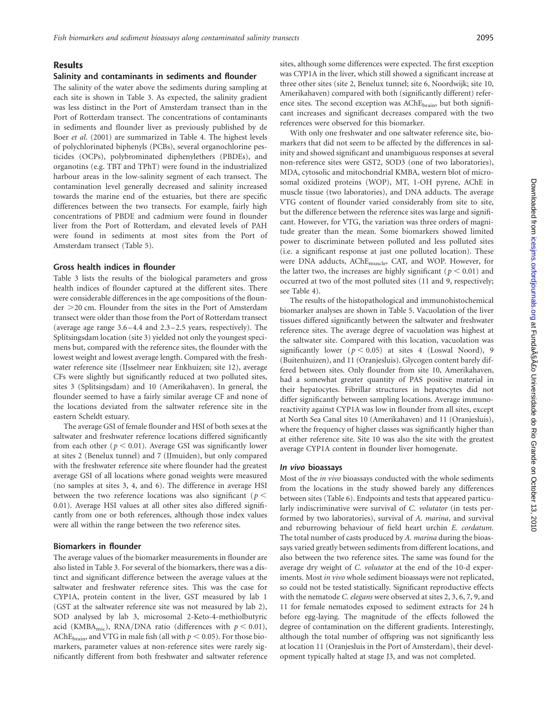#### Results

#### Salinity and contaminants in sediments and flounder

The salinity of the water above the sediments during sampling at each site is shown in Table 3. As expected, the salinity gradient was less distinct in the Port of Amsterdam transect than in the Port of Rotterdam transect. The concentrations of contaminants in sediments and flounder liver as previously published by de Boer et al. (2001) are summarized in Table 4. The highest levels of polychlorinated biphenyls (PCBs), several organochlorine pesticides (OCPs), polybrominated diphenylethers (PBDEs), and organotins (e.g. TBT and TPhT) were found in the industrialized harbour areas in the low-salinity segment of each transect. The contamination level generally decreased and salinity increased towards the marine end of the estuaries, but there are specific differences between the two transects. For example, fairly high concentrations of PBDE and cadmium were found in flounder liver from the Port of Rotterdam, and elevated levels of PAH were found in sediments at most sites from the Port of Amsterdam transect (Table 5).

#### Gross health indices in flounder

Table 3 lists the results of the biological parameters and gross health indices of flounder captured at the different sites. There were considerable differences in the age compositions of the floun $der$   $>$  20 cm. Flounder from the sites in the Port of Amsterdam transect were older than those from the Port of Rotterdam transect (average age range 3.6 –4.4 and 2.3 –2.5 years, respectively). The Splitsingsdam location (site 3) yielded not only the youngest specimens but, compared with the reference sites, the flounder with the lowest weight and lowest average length. Compared with the freshwater reference site (IJsselmeer near Enkhuizen; site 12), average CFs were slightly but significantly reduced at two polluted sites, sites 3 (Splitsingsdam) and 10 (Amerikahaven). In general, the flounder seemed to have a fairly similar average CF and none of the locations deviated from the saltwater reference site in the eastern Scheldt estuary.

The average GSI of female flounder and HSI of both sexes at the saltwater and freshwater reference locations differed significantly from each other ( $p < 0.01$ ). Average GSI was significantly lower at sites 2 (Benelux tunnel) and 7 (IJmuiden), but only compared with the freshwater reference site where flounder had the greatest average GSI of all locations where gonad weights were measured (no samples at sites 3, 4, and 6). The difference in average HSI between the two reference locations was also significant ( $p <$ 0.01). Average HSI values at all other sites also differed significantly from one or both references, although those index values were all within the range between the two reference sites.

#### Biomarkers in flounder

The average values of the biomarker measurements in flounder are also listed in Table 3. For several of the biomarkers, there was a distinct and significant difference between the average values at the saltwater and freshwater reference sites. This was the case for CYP1A, protein content in the liver, GST measured by lab 1 (GST at the saltwater reference site was not measured by lab 2), SOD analysed by lab 3, microsomal 2-Keto-4-methiolbutyric acid (KMBA<sub>mic</sub>), RNA/DNA ratio (differences with  $p < 0.01$ ), AChE<sub>brain</sub>, and VTG in male fish (all with  $p < 0.05$ ). For those biomarkers, parameter values at non-reference sites were rarely significantly different from both freshwater and saltwater reference sites, although some differences were expected. The first exception was CYP1A in the liver, which still showed a significant increase at three other sites (site 2, Benelux tunnel; site 6, Noordwijk; site 10, Amerikahaven) compared with both (significantly different) reference sites. The second exception was AChE<sub>brain</sub>, but both significant increases and significant decreases compared with the two references were observed for this biomarker.

With only one freshwater and one saltwater reference site, biomarkers that did not seem to be affected by the differences in salinity and showed significant and unambiguous responses at several non-reference sites were GST2, SOD3 (one of two laboratories), MDA, cytosolic and mitochondrial KMBA, western blot of microsomal oxidized proteins (WOP), MT, 1-OH pyrene, AChE in muscle tissue (two laboratories), and DNA adducts. The average VTG content of flounder varied considerably from site to site, but the difference between the reference sites was large and significant. However, for VTG, the variation was three orders of magnitude greater than the mean. Some biomarkers showed limited power to discriminate between polluted and less polluted sites (i.e. a significant response at just one polluted location). These were DNA adducts, AChEmuscle, CAT, and WOP. However, for the latter two, the increases are highly significant ( $p < 0.01$ ) and occurred at two of the most polluted sites (11 and 9, respectively; see Table 4).

The results of the histopathological and immunohistochemical biomarker analyses are shown in Table 5. Vacuolation of the liver tissues differed significantly between the saltwater and freshwater reference sites. The average degree of vacuolation was highest at the saltwater site. Compared with this location, vacuolation was significantly lower ( $p < 0.05$ ) at sites 4 (Loswal Noord), 9 (Buitenhuizen), and 11 (Oranjesluis). Glycogen content barely differed between sites. Only flounder from site 10, Amerikahaven, had a somewhat greater quantity of PAS positive material in their hepatocytes. Fibrillar structures in hepatocytes did not differ significantly between sampling locations. Average immunoreactivity against CYP1A was low in flounder from all sites, except at North Sea Canal sites 10 (Amerikahaven) and 11 (Oranjesluis), where the frequency of higher classes was significantly higher than at either reference site. Site 10 was also the site with the greatest average CYP1A content in flounder liver homogenate.

#### In vivo bioassays

Most of the in vivo bioassays conducted with the whole sediments from the locations in the study showed barely any differences between sites (Table 6). Endpoints and tests that appeared particularly indiscriminative were survival of C. volutator (in tests performed by two laboratories), survival of A. marina, and survival and reburrowing behaviour of field heart urchin E. cordatum. The total number of casts produced by A. marina during the bioassays varied greatly between sediments from different locations, and also between the two reference sites. The same was found for the average dry weight of C. volutator at the end of the 10-d experiments. Most in vivo whole sediment bioassays were not replicated, so could not be tested statistically. Significant reproductive effects with the nematode C. elegans were observed at sites 2, 3, 6, 7, 9, and 11 for female nematodes exposed to sediment extracts for 24 h before egg-laying. The magnitude of the effects followed the degree of contamination on the different gradients. Interestingly, although the total number of offspring was not significantly less at location 11 (Oranjesluis in the Port of Amsterdam), their development typically halted at stage J3, and was not completed.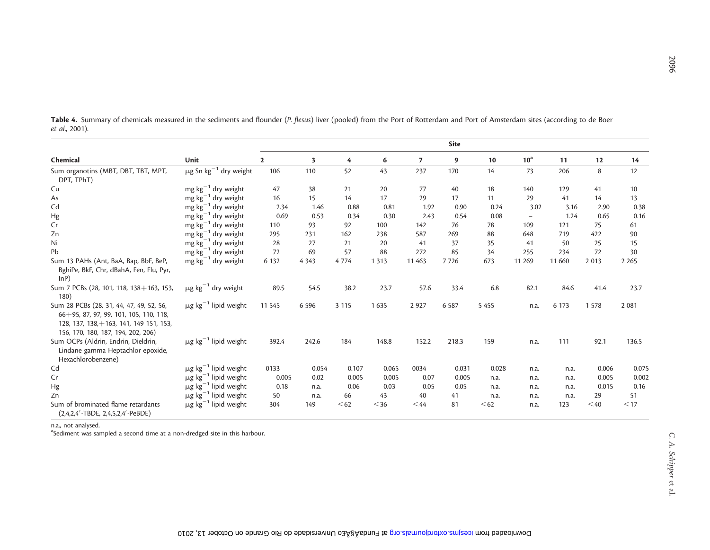|                                                                                                                                                                          |                                        |                |                         |         |         |                | <b>Site</b> |         |                   |         |         |         |
|--------------------------------------------------------------------------------------------------------------------------------------------------------------------------|----------------------------------------|----------------|-------------------------|---------|---------|----------------|-------------|---------|-------------------|---------|---------|---------|
| Chemical                                                                                                                                                                 | Unit                                   | $\overline{2}$ | $\overline{\mathbf{3}}$ | 4       | 6       | $\overline{z}$ | 9           | 10      | 10 <sup>a</sup>   | 11      | 12      | 14      |
| Sum organotins (MBT, DBT, TBT, MPT,<br>DPT, TPhT)                                                                                                                        | $\mu$ g Sn $\text{kg}^{-1}$ dry weight | 106            | 110                     | 52      | 43      | 237            | 170         | 14      | 73                | 206     | 8       | 12      |
| Cu                                                                                                                                                                       | mg $kg^{-1}$ dry weight                | 47             | 38                      | 21      | 20      | 77             | 40          | 18      | 140               | 129     | 41      | 10      |
| As                                                                                                                                                                       | $mg \, kg^{-1}$ dry weight             | 16             | 15                      | 14      | 17      | 29             | 17          | 11      | 29                | 41      | 14      | 13      |
| Cd                                                                                                                                                                       | $mg \, kg^{-1}$ dry weight             | 2.34           | 1.46                    | 0.88    | 0.81    | 1.92           | 0.90        | 0.24    | 3.02              | 3.16    | 2.90    | 0.38    |
| Hg                                                                                                                                                                       | mg $kg^{-1}$ dry weight                | 0.69           | 0.53                    | 0.34    | 0.30    | 2.43           | 0.54        | 0.08    | $\qquad \qquad -$ | 1.24    | 0.65    | 0.16    |
| Cr                                                                                                                                                                       | $mg \, kg^{-1}$ dry weight             | 110            | 93                      | 92      | 100     | 142            | 76          | 78      | 109               | 121     | 75      | 61      |
| Zn                                                                                                                                                                       | mg $kg^{-1}$ dry weight                | 295            | 231                     | 162     | 238     | 587            | 269         | 88      | 648               | 719     | 422     | 90      |
| Ni                                                                                                                                                                       | mg $kg^{-1}$ dry weight                | 28             | 27                      | 21      | 20      | 41             | 37          | 35      | 41                | 50      | 25      | 15      |
| Pb                                                                                                                                                                       | $mg \, kg^{-1}$ dry weight             | 72             | 69                      | 57      | 88      | 272            | 85          | 34      | 255               | 234     | 72      | 30      |
| Sum 13 PAHs (Ant, BaA, Bap, BbF, BeP,<br>BghiPe, BkF, Chr, dBahA, Fen, Flu, Pyr,<br>lnP)                                                                                 | mg $kg^{-1}$ dry weight                | 6 1 3 2        | 4 3 4 3                 | 4774    | 1 3 1 3 | 11 463         | 7726        | 673     | 11 269            | 11 660  | 2 0 1 3 | 2 2 6 5 |
| Sum 7 PCBs (28, 101, 118, 138+163, 153,<br>180)                                                                                                                          | $\mu$ g kg <sup>-1</sup> dry weight    | 89.5           | 54.5                    | 38.2    | 23.7    | 57.6           | 33.4        | 6.8     | 82.1              | 84.6    | 41.4    | 23.7    |
| Sum 28 PCBs (28, 31, 44, 47, 49, 52, 56,<br>$66 + 95$ , 87, 97, 99, 101, 105, 110, 118,<br>128, 137, 138, +163, 141, 149 151, 153,<br>156, 170, 180, 187, 194, 202, 206) | $\mu$ g kg <sup>-1</sup> lipid weight  | 11 5 45        | 6 5 9 6                 | 3 1 1 5 | 1 6 3 5 | 2 9 2 7        | 6 5 8 7     | 5 4 5 5 | n.a.              | 6 1 7 3 | 1578    | 2 0 8 1 |
| Sum OCPs (Aldrin, Endrin, Dieldrin,<br>Lindane gamma Heptachlor epoxide,<br>Hexachlorobenzene)                                                                           | $\mu$ g kg <sup>-1</sup> lipid weight  | 392.4          | 242.6                   | 184     | 148.8   | 152.2          | 218.3       | 159     | n.a.              | 111     | 92.1    | 136.5   |
| Cd                                                                                                                                                                       | $\mu$ g kg <sup>-1</sup> lipid weight  | 0133           | 0.054                   | 0.107   | 0.065   | 0034           | 0.031       | 0.028   | n.a.              | n.a.    | 0.006   | 0.075   |
| Cr                                                                                                                                                                       | $\mu$ g kg <sup>-1</sup> lipid weight  | 0.005          | 0.02                    | 0.005   | 0.005   | 0.07           | 0.005       | n.a.    | n.a.              | n.a.    | 0.005   | 0.002   |
| Hg                                                                                                                                                                       | $\mu$ g kg <sup>-1</sup> lipid weight  | 0.18           | n.a.                    | 0.06    | 0.03    | 0.05           | 0.05        | n.a.    | n.a.              | n.a.    | 0.015   | 0.16    |
| Zn                                                                                                                                                                       | $\mu\text{g kg}^{-1}$ lipid weight     | 50             | n.a.                    | 66      | 43      | 40             | 41          | n.a.    | n.a.              | n.a.    | 29      | 51      |
| Sum of brominated flame retardants<br>(2,4,2,4'-TBDE, 2,4,5,2,4'-PeBDE)                                                                                                  | $\mu$ g kg <sup>-1</sup> lipid weight  | 304            | 149                     | < 62    | $<$ 36  | $<$ 44         | 81          | $<$ 62  | n.a.              | 123     | $<$ 40  | $<$ 17  |

Table 4. Summary of chemicals measured in the sediments and flounder (P. flesus) liver (pooled) from the Port of Rotterdam and Port of Amsterdam sites (according to de Boer et al., 2001).

n.a., not analysed.

and the mast condition of a second time at a non-dredged site in this harbour.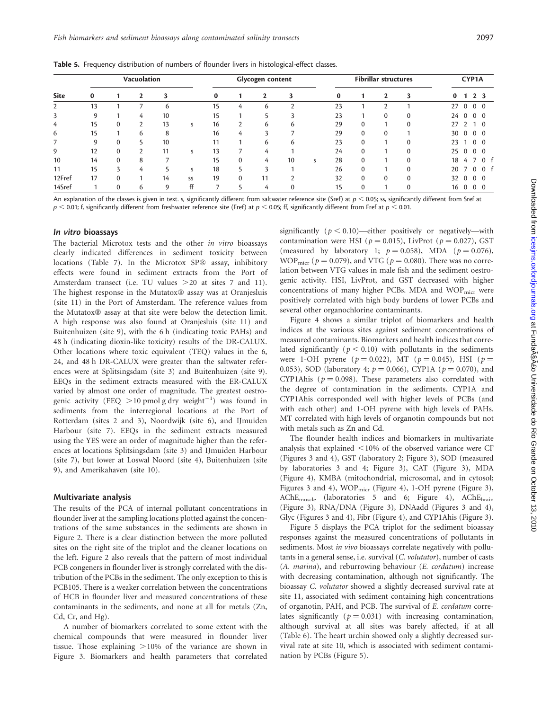Table 5. Frequency distribution of numbers of flounder livers in histological-effect classes.

|             | <b>Vacuolation</b> |              |   |    | Glycogen content |          |          |    |               |   |          | CYP1A       |              |              |          |    |               |                          |                |
|-------------|--------------------|--------------|---|----|------------------|----------|----------|----|---------------|---|----------|-------------|--------------|--------------|----------|----|---------------|--------------------------|----------------|
| <b>Site</b> | $\bf{0}$           |              |   | 3  |                  | $\bf{0}$ |          |    | 3             |   | $\bf{0}$ |             | $\mathbf{2}$ | 3            | $\bf{0}$ |    |               | 2 <sub>3</sub>           |                |
| 2           | 13                 |              |   | 6  |                  | 15       | 4        | 6  | $\mathcal{L}$ |   | 23       |             | ົ            |              | 27       |    | $\Omega$      | $\overline{0}$           | $\overline{0}$ |
| 3           | 9                  |              | 4 | 10 |                  | 15       |          |    | 3             |   | 23       |             | $\Omega$     | $\Omega$     |          | 24 | $\mathbf{0}$  | $0\quad 0$               |                |
| 4           | 15                 | $\Omega$     | C | 13 | s                | 16       |          | 6  | 6             |   | 29       | $\Omega$    |              | $\Omega$     | 27       |    | $\mathcal{P}$ |                          | $\overline{0}$ |
| 6           | 15                 |              | 6 | 8  |                  | 16       | 4        | ≺  |               |   | 29       | $\Omega$    | $\Omega$     |              | 30       |    | $\Omega$      | $0\quad 0$               |                |
| 7           | 9                  | $\Omega$     |   | 10 |                  | 11       |          | 6  | 6             |   | 23       | $\mathbf 0$ |              | $\mathbf{0}$ | 23       |    |               | $0\quad 0$               |                |
| 9           | 12                 | $\mathbf{0}$ | ◠ | 11 | S                | 13       |          | 4  |               |   | 24       | $\Omega$    |              | $\Omega$     | 25       |    | $\Omega$      | $0\quad 0$               |                |
| 10          | 14                 | $\Omega$     | 8 | ⇁  |                  | 15       | $\Omega$ | 4  | 10            | S | 28       | $\Omega$    |              | $\Omega$     | 18       |    | 4             | $\overline{\phantom{a}}$ | 0 f            |
| 11          | 15                 | 3            | 4 |    | ς                | 18       |          |    |               |   | 26       | $\Omega$    |              | $\Omega$     | 20       |    |               | $\Omega$                 | $\overline{0}$ |
| 12Fref      | 17                 | $\Omega$     |   | 14 | SS               | 19       | $\Omega$ | 11 | ำ             |   | 32       | $\Omega$    | $\Omega$     | $\Omega$     | 32       |    | $\Omega$      | $\Omega$                 | $\overline{0}$ |
| 14Sref      |                    | $\Omega$     | 6 | 9  | ff               |          |          | 4  | $\Omega$      |   | 15       | $\mathbf 0$ |              | $\Omega$     | 16       |    | $\mathbf 0$   | $0\quad 0$               |                |

An explanation of the classes is given in text. s, significantly different from saltwater reference site (Sref) at  $p < 0.05$ ; ss, significantly different from Sref at  $p < 0.01$ ; f, significantly different from freshwater reference site (Fref) at  $p < 0.05$ ; ff, significantly different from Fref at  $p < 0.01$ .

#### In vitro bioassays

The bacterial Microtox tests and the other in vitro bioassays clearly indicated differences in sediment toxicity between locations (Table 7). In the Microtox SP® assay, inhibitory effects were found in sediment extracts from the Port of Amsterdam transect (i.e. TU values > 20 at sites 7 and 11). The highest response in the Mutatox® assay was at Oranjesluis (site 11) in the Port of Amsterdam. The reference values from the Mutatox® assay at that site were below the detection limit. A high response was also found at Oranjesluis (site 11) and Buitenhuizen (site 9), with the 6 h (indicating toxic PAHs) and 48 h (indicating dioxin-like toxicity) results of the DR-CALUX. Other locations where toxic equivalent (TEQ) values in the 6, 24, and 48 h DR-CALUX were greater than the saltwater references were at Splitsingsdam (site 3) and Buitenhuizen (site 9). EEQs in the sediment extracts measured with the ER-CALUX varied by almost one order of magnitude. The greatest oestrogenic activity (EEQ  $>$  10 pmol g dry weight<sup>-1</sup>) was found in sediments from the interregional locations at the Port of Rotterdam (sites 2 and 3), Noordwijk (site 6), and IJmuiden Harbour (site 7). EEQs in the sediment extracts measured using the YES were an order of magnitude higher than the references at locations Splitsingsdam (site 3) and IJmuiden Harbour (site 7), but lower at Loswal Noord (site 4), Buitenhuizen (site 9), and Amerikahaven (site 10).

#### Multivariate analysis

The results of the PCA of internal pollutant concentrations in flounder liver at the sampling locations plotted against the concentrations of the same substances in the sediments are shown in Figure 2. There is a clear distinction between the more polluted sites on the right site of the triplot and the cleaner locations on the left. Figure 2 also reveals that the pattern of most individual PCB congeners in flounder liver is strongly correlated with the distribution of the PCBs in the sediment. The only exception to this is PCB105. There is a weaker correlation between the concentrations of HCB in flounder liver and measured concentrations of these contaminants in the sediments, and none at all for metals (Zn, Cd, Cr, and Hg).

A number of biomarkers correlated to some extent with the chemical compounds that were measured in flounder liver tissue. Those explaining  $>10\%$  of the variance are shown in Figure 3. Biomarkers and health parameters that correlated

significantly ( $p < 0.10$ )—either positively or negatively—with contamination were HSI ( $p = 0.015$ ), LivProt ( $p = 0.027$ ), GST (measured by laboratory 1;  $p = 0.058$ ), MDA ( $p = 0.076$ ), WOP<sub>micr</sub> ( $p = 0.079$ ), and VTG ( $p = 0.080$ ). There was no correlation between VTG values in male fish and the sediment oestrogenic activity. HSI, LivProt, and GST decreased with higher concentrations of many higher PCBs. MDA and  $WOP<sub>micro</sub>$  were positively correlated with high body burdens of lower PCBs and several other organochlorine contaminants.

Figure 4 shows a similar triplot of biomarkers and health indices at the various sites against sediment concentrations of measured contaminants. Biomarkers and health indices that correlated significantly ( $p < 0.10$ ) with pollutants in the sediments were 1-OH pyrene ( $p = 0.022$ ), MT ( $p = 0.045$ ), HSI ( $p =$ 0.053), SOD (laboratory 4;  $p = 0.066$ ), CYP1A ( $p = 0.070$ ), and CYP1Ahis ( $p = 0.098$ ). These parameters also correlated with the degree of contamination in the sediments. CYP1A and CYP1Ahis corresponded well with higher levels of PCBs (and with each other) and 1-OH pyrene with high levels of PAHs. MT correlated with high levels of organotin compounds but not with metals such as Zn and Cd.

The flounder health indices and biomarkers in multivariate analysis that explained  $<$  10% of the observed variance were CF (Figures 3 and 4), GST (laboratory 2; Figure 3), SOD (measured by laboratories 3 and 4; Figure 3), CAT (Figure 3), MDA (Figure 4), KMBA (mitochondrial, microsomal, and in cytosol; Figures 3 and 4), WOP<sub>micr</sub> (Figure 4), 1-OH pyrene (Figure 3), AChE<sub>muscle</sub> (laboratories 5 and 6; Figure 4), AChE<sub>brain</sub> (Figure 3), RNA/DNA (Figure 3), DNAadd (Figures 3 and 4), Glyc (Figures 3 and 4), Fibr (Figure 4), and CYP1Ahis (Figure 3).

Figure 5 displays the PCA triplot for the sediment bioassay responses against the measured concentrations of pollutants in sediments. Most in vivo bioassays correlate negatively with pollutants in a general sense, i.e. survival (C. volutator), number of casts (A. marina), and reburrowing behaviour (E. cordatum) increase with decreasing contamination, although not significantly. The bioassay C. volutator showed a slightly decreased survival rate at site 11, associated with sediment containing high concentrations of organotin, PAH, and PCB. The survival of E. cordatum correlates significantly ( $p = 0.031$ ) with increasing contamination, although survival at all sites was barely affected, if at all (Table 6). The heart urchin showed only a slightly decreased survival rate at site 10, which is associated with sediment contamination by PCBs (Figure 5).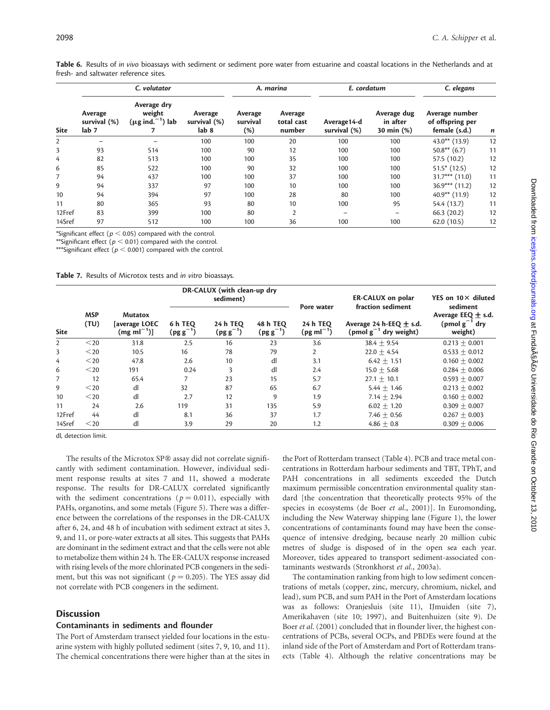|        |                                             | C. volutator                                             |                                  |                            | A. marina                       | E. cordatum                  |                                       | C. elegans                                          |    |  |
|--------|---------------------------------------------|----------------------------------------------------------|----------------------------------|----------------------------|---------------------------------|------------------------------|---------------------------------------|-----------------------------------------------------|----|--|
| Site   | Average<br>survival (%)<br>lab <sub>7</sub> | Average dry<br>weight<br>$(\mu g \text{ ind.}^{-1})$ lab | Average<br>survival (%)<br>lab 8 | Average<br>survival<br>(%) | Average<br>total cast<br>number | Average 14-d<br>survival (%) | Average dug<br>in after<br>30 min (%) | Average number<br>of offspring per<br>female (s.d.) | n  |  |
| 2      |                                             |                                                          | 100                              | 100                        | 20                              | 100                          | 100                                   | $43.0**$ (13.9)                                     | 12 |  |
| 3      | 93                                          | 514                                                      | 100                              | 90                         | 12                              | 100                          | 100                                   | $50.8**$ (6.7)                                      | 11 |  |
| 4      | 82                                          | 513                                                      | 100                              | 100                        | 35                              | 100                          | 100                                   | 57.5 (10.2)                                         | 12 |  |
| 6      | 85                                          | 522                                                      | 100                              | 90                         | 32                              | 100                          | 100                                   | $51.5*$ (12.5)                                      | 12 |  |
| 7      | 94                                          | 437                                                      | 100                              | 100                        | 37                              | 100                          | 100                                   | $31.7***$ (11.0)                                    | 11 |  |
| 9      | 94                                          | 337                                                      | 97                               | 100                        | 10                              | 100                          | 100                                   | $36.9***$ (11.2)                                    | 12 |  |
| 10     | 94                                          | 394                                                      | 97                               | 100                        | 28                              | 80                           | 100                                   | $40.9**$ (11.9)                                     | 12 |  |
| 11     | 80                                          | 365                                                      | 93                               | 80                         | 10                              | 100                          | 95                                    | 54.4 (13.7)                                         | 11 |  |
| 12Fref | 83                                          | 399                                                      | 100                              | 80                         | $\overline{2}$                  | -                            |                                       | 66.3(20.2)                                          | 12 |  |
| 14Sref | 97                                          | 512                                                      | 100                              | 100                        | 36                              | 100                          | 100                                   | 62.0(10.5)                                          | 12 |  |

Table 6. Results of in vivo bioassays with sediment or sediment pore water from estuarine and coastal locations in the Netherlands and at fresh- and saltwater reference sites.

\*Significant effect ( $p < 0.05$ ) compared with the control.

\*\*Significant effect ( $p < 0.01$ ) compared with the control.

\*\*\*Significant effect ( $p < 0.001$ ) compared with the control.

Table 7. Results of Microtox tests and in vitro bioassays.

| <b>Site</b>    |                    |                                                   |                                 | DR-CALUX (with clean-up dry<br>sediment) |                                  | Pore water                 | <b>ER-CALUX</b> on polar<br>fraction sediment             | YES on $10 \times$ diluted<br>sediment                  |
|----------------|--------------------|---------------------------------------------------|---------------------------------|------------------------------------------|----------------------------------|----------------------------|-----------------------------------------------------------|---------------------------------------------------------|
|                | <b>MSP</b><br>(TU) | <b>Mutatox</b><br>[average LOEC<br>$(mg ml^{-1})$ | 6 h TEQ<br>$(\text{pg g}^{-1})$ | 24 h TEQ<br>$(\text{pg g}^{-1})$         | <b>48 h TEQ</b><br>$(pg g^{-1})$ | 24 h TEQ<br>$(pg ml^{-1})$ | Average 24 h-EEQ $\pm$ s.d.<br>(pmol $g^{-1}$ dry weight) | Average EEQ $\pm$ s.d.<br>(pmol $g^{-1}$ dry<br>weight) |
| $\overline{2}$ | $20$               | 31.8                                              | 2.5                             | 16                                       | 23                               | 3.6                        | $38.4 \pm 9.54$                                           | $0.213 + 0.001$                                         |
| 3              | $<$ 20             | 10.5                                              | 16                              | 78                                       | 79                               | $\overline{2}$             | $22.0 + 4.54$                                             | $0.533 + 0.012$                                         |
| 4              | $<$ 20             | 47.8                                              | 2.6                             | 10                                       | dl                               | 3.1                        | $6.42 + 1.51$                                             | $0.160 + 0.002$                                         |
| 6              | $<$ 20             | 191                                               | 0.24                            | 3                                        | dl                               | 2.4                        | $15.0 + 5.68$                                             | $0.284 + 0.006$                                         |
| 7              | 12                 | 65.4                                              | 7                               | 23                                       | 15                               | 5.7                        | $27.1 + 10.1$                                             | $0.593 + 0.007$                                         |
| 9              | $<$ 20             | dl                                                | 32                              | 87                                       | 65                               | 6.7                        | $5.44 + 1.46$                                             | $0.213 + 0.002$                                         |
| 10             | $<$ 20             | dl                                                | 2.7                             | 12                                       | 9                                | 1.9                        | $7.14 + 2.94$                                             | $0.160 + 0.002$                                         |
| 11             | 24                 | 2.6                                               | 119                             | 31                                       | 135                              | 5.9                        | $6.02 + 1.20$                                             | $0.309 + 0.007$                                         |
| 12Fref         | 44                 | dl                                                | 8.1                             | 36                                       | 37                               | 1.7                        | 7.46 $\pm$ 0.56                                           | $0.267 + 0.003$                                         |
| 14Sref         | $<$ 20             | dl                                                | 3.9                             | 29                                       | 20                               | 1.2                        | $4.86 \pm 0.8$                                            | $0.309 + 0.006$                                         |

dl, detection limit.

The results of the Microtox SP® assay did not correlate significantly with sediment contamination. However, individual sediment response results at sites 7 and 11, showed a moderate response. The results for DR-CALUX correlated significantly with the sediment concentrations ( $p = 0.011$ ), especially with PAHs, organotins, and some metals (Figure 5). There was a difference between the correlations of the responses in the DR-CALUX after 6, 24, and 48 h of incubation with sediment extract at sites 3, 9, and 11, or pore-water extracts at all sites. This suggests that PAHs are dominant in the sediment extract and that the cells were not able to metabolize them within 24 h. The ER-CALUX response increased with rising levels of the more chlorinated PCB congeners in the sediment, but this was not significant ( $p = 0.205$ ). The YES assay did not correlate with PCB congeners in the sediment.

### **Discussion**

#### Contaminants in sediments and flounder

The Port of Amsterdam transect yielded four locations in the estuarine system with highly polluted sediment (sites 7, 9, 10, and 11). The chemical concentrations there were higher than at the sites in

the Port of Rotterdam transect (Table 4). PCB and trace metal concentrations in Rotterdam harbour sediments and TBT, TPhT, and PAH concentrations in all sediments exceeded the Dutch maximum permissible concentration environmental quality standard [the concentration that theoretically protects 95% of the species in ecosystems (de Boer et al., 2001)]. In Euromonding, including the New Waterway shipping lane (Figure 1), the lower concentrations of contaminants found may have been the consequence of intensive dredging, because nearly 20 million cubic metres of sludge is disposed of in the open sea each year. Moreover, tides appeared to transport sediment-associated contaminants westwards (Stronkhorst et al., 2003a).

The contamination ranking from high to low sediment concentrations of metals (copper, zinc, mercury, chromium, nickel, and lead), sum PCB, and sum PAH in the Port of Amsterdam locations was as follows: Oranjesluis (site 11), IJmuiden (site 7), Amerikahaven (site 10; 1997), and Buitenhuizen (site 9). De Boer et al. (2001) concluded that in flounder liver, the highest concentrations of PCBs, several OCPs, and PBDEs were found at the inland side of the Port of Amsterdam and Port of Rotterdam transects (Table 4). Although the relative concentrations may be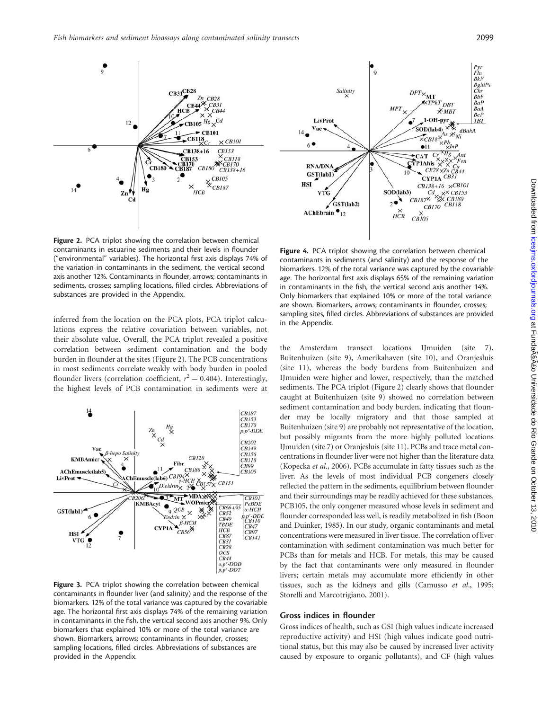$CB31$ <sup>CB28</sup>

**CB118** 

CB138+16

 $HCB$ 

**CB180** 

CB153

 $CR28$ 

 $CB31$ 

 $CBI01$ ×

 $\frac{CB153}{XCB118}$ 

 $*$ CB170

**CB105**  $\underset{3}{\times}$ CB105

 $CH138+16$ 

Figure 2. PCA triplot showing the correlation between chemical contaminants in estuarine sediments and their levels in flounder ("environmental" variables). The horizontal first axis displays 74% of the variation in contaminants in the sediment, the vertical second axis another 12%. Contaminants in flounder, arrows; contaminants in sediments, crosses; sampling locations, filled circles. Abbreviations of substances are provided in the Appendix.

 $12$ 

 $\mathbf{Z}$ n

 $C_{d}$ 

à

 $\bullet_3$ 

Hg

 $CB180$ 

 $6$ 

inferred from the location on the PCA plots, PCA triplot calculations express the relative covariation between variables, not their absolute value. Overall, the PCA triplot revealed a positive correlation between sediment contamination and the body burden in flounder at the sites (Figure 2). The PCB concentrations in most sediments correlate weakly with body burden in pooled flounder livers (correlation coefficient,  $r^2 = 0.404$ ). Interestingly, the highest levels of PCB contamination in sediments were at



Figure 3. PCA triplot showing the correlation between chemical contaminants in flounder liver (and salinity) and the response of the biomarkers. 12% of the total variance was captured by the covariable age. The horizontal first axis displays 74% of the remaining variation in contaminants in the fish, the vertical second axis another 9%. Only biomarkers that explained 10% or more of the total variance are shown. Biomarkers, arrows; contaminants in flounder, crosses; sampling locations, filled circles. Abbreviations of substances are provided in the Appendix.



the Amsterdam transect locations IJmuiden (site 7), Buitenhuizen (site 9), Amerikahaven (site 10), and Oranjesluis (site 11), whereas the body burdens from Buitenhuizen and IJmuiden were higher and lower, respectively, than the matched sediments. The PCA triplot (Figure 2) clearly shows that flounder caught at Buitenhuizen (site 9) showed no correlation between sediment contamination and body burden, indicating that flounder may be locally migratory and that those sampled at Buitenhuizen (site 9) are probably not representative of the location, but possibly migrants from the more highly polluted locations IJmuiden (site 7) or Oranjesluis (site 11). PCBs and trace metal concentrations in flounder liver were not higher than the literature data (Kopecka et al., 2006). PCBs accumulate in fatty tissues such as the liver. As the levels of most individual PCB congeners closely reflected the pattern in the sediments, equilibrium between flounder and their surroundings may be readily achieved for these substances. PCB105, the only congener measured whose levels in sediment and flounder corresponded less well, is readily metabolized in fish (Boon and Duinker, 1985). In our study, organic contaminants and metal concentrations were measured in liver tissue. The correlation of liver contamination with sediment contamination was much better for PCBs than for metals and HCB. For metals, this may be caused by the fact that contaminants were only measured in flounder livers; certain metals may accumulate more efficiently in other tissues, such as the kidneys and gills (Camusso et al., 1995; Storelli and Marcotrigiano, 2001).

#### Gross indices in flounder

Gross indices of health, such as GSI (high values indicate increased reproductive activity) and HSI (high values indicate good nutritional status, but this may also be caused by increased liver activity caused by exposure to organic pollutants), and CF (high values

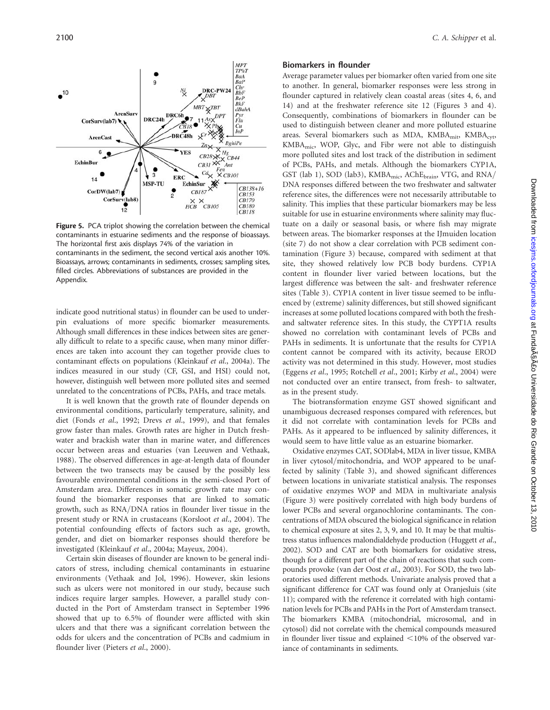Figure 5. PCA triplot showing the correlation between the chemical contaminants in estuarine sediments and the response of bioassays. The horizontal first axis displays 74% of the variation in contaminants in the sediment, the second vertical axis another 10%. Bioassays, arrows; contaminants in sediments, crosses; sampling sites, filled circles. Abbreviations of substances are provided in the Appendix.

indicate good nutritional status) in flounder can be used to underpin evaluations of more specific biomarker measurements. Although small differences in these indices between sites are generally difficult to relate to a specific cause, when many minor differences are taken into account they can together provide clues to contaminant effects on populations (Kleinkauf et al., 2004a). The indices measured in our study (CF, GSI, and HSI) could not, however, distinguish well between more polluted sites and seemed unrelated to the concentrations of PCBs, PAHs, and trace metals.

It is well known that the growth rate of flounder depends on environmental conditions, particularly temperature, salinity, and diet (Fonds et al., 1992; Drevs et al., 1999), and that females grow faster than males. Growth rates are higher in Dutch freshwater and brackish water than in marine water, and differences occur between areas and estuaries (van Leeuwen and Vethaak, 1988). The observed differences in age-at-length data of flounder between the two transects may be caused by the possibly less favourable environmental conditions in the semi-closed Port of Amsterdam area. Differences in somatic growth rate may confound the biomarker responses that are linked to somatic growth, such as RNA/DNA ratios in flounder liver tissue in the present study or RNA in crustaceans (Korsloot et al., 2004). The potential confounding effects of factors such as age, growth, gender, and diet on biomarker responses should therefore be investigated (Kleinkauf et al., 2004a; Mayeux, 2004).

Certain skin diseases of flounder are known to be general indicators of stress, including chemical contaminants in estuarine environments (Vethaak and Jol, 1996). However, skin lesions such as ulcers were not monitored in our study, because such indices require larger samples. However, a parallel study conducted in the Port of Amsterdam transect in September 1996 showed that up to 6.5% of flounder were afflicted with skin ulcers and that there was a significant correlation between the odds for ulcers and the concentration of PCBs and cadmium in flounder liver (Pieters et al., 2000).

#### Biomarkers in flounder

Average parameter values per biomarker often varied from one site to another. In general, biomarker responses were less strong in flounder captured in relatively clean coastal areas (sites 4, 6, and 14) and at the freshwater reference site 12 (Figures 3 and 4). Consequently, combinations of biomarkers in flounder can be used to distinguish between cleaner and more polluted estuarine areas. Several biomarkers such as MDA, KMBA<sub>mit</sub>, KMBA<sub>cvt</sub>, KMBAmic, WOP, Glyc, and Fibr were not able to distinguish more polluted sites and lost track of the distribution in sediment of PCBs, PAHs, and metals. Although the biomarkers CYP1A, GST (lab 1), SOD (lab3), KMBA<sub>mic</sub>, AChE<sub>brain</sub>, VTG, and RNA/ DNA responses differed between the two freshwater and saltwater reference sites, the differences were not necessarily attributable to salinity. This implies that these particular biomarkers may be less suitable for use in estuarine environments where salinity may fluctuate on a daily or seasonal basis, or where fish may migrate between areas. The biomarker responses at the IJmuiden location (site 7) do not show a clear correlation with PCB sediment contamination (Figure 3) because, compared with sediment at that site, they showed relatively low PCB body burdens. CYP1A content in flounder liver varied between locations, but the largest difference was between the salt- and freshwater reference sites (Table 3). CYP1A content in liver tissue seemed to be influenced by (extreme) salinity differences, but still showed significant increases at some polluted locations compared with both the freshand saltwater reference sites. In this study, the CYPT1A results showed no correlation with contaminant levels of PCBs and PAHs in sediments. It is unfortunate that the results for CYP1A content cannot be compared with its activity, because EROD activity was not determined in this study. However, most studies (Eggens et al., 1995; Rotchell et al., 2001; Kirby et al., 2004) were not conducted over an entire transect, from fresh- to saltwater, as in the present study.

The biotransformation enzyme GST showed significant and unambiguous decreased responses compared with references, but it did not correlate with contamination levels for PCBs and PAHs. As it appeared to be influenced by salinity differences, it would seem to have little value as an estuarine biomarker.

Oxidative enzymes CAT, SODlab4, MDA in liver tissue, KMBA in liver cytosol/mitochondria, and WOP appeared to be unaffected by salinity (Table 3), and showed significant differences between locations in univariate statistical analysis. The responses of oxidative enzymes WOP and MDA in multivariate analysis (Figure 3) were positively correlated with high body burdens of lower PCBs and several organochlorine contaminants. The concentrations of MDA obscured the biological significance in relation to chemical exposure at sites 2, 3, 9, and 10. It may be that multistress status influences malondialdehyde production (Huggett et al., 2002). SOD and CAT are both biomarkers for oxidative stress, though for a different part of the chain of reactions that such compounds provoke (van der Oost et al., 2003). For SOD, the two laboratories used different methods. Univariate analysis proved that a significant difference for CAT was found only at Oranjesluis (site 11); compared with the reference it correlated with high contamination levels for PCBs and PAHs in the Port of Amsterdam transect. The biomarkers KMBA (mitochondrial, microsomal, and in cytosol) did not correlate with the chemical compounds measured in flounder liver tissue and explained  $\leq 10\%$  of the observed variance of contaminants in sediments.

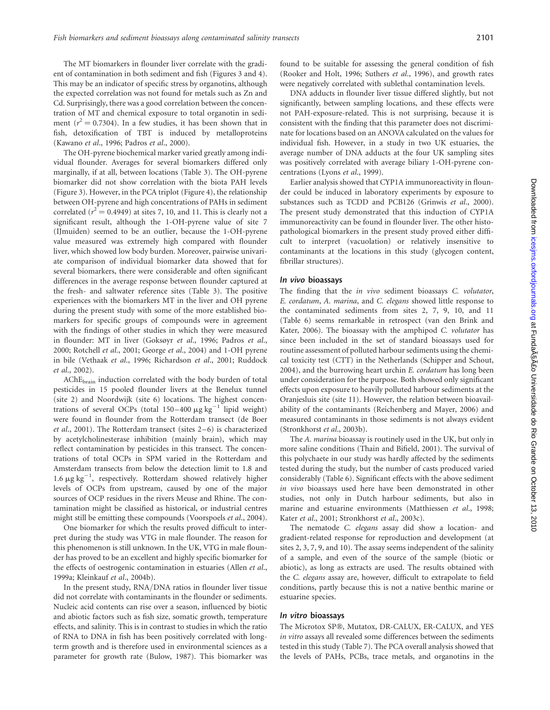The MT biomarkers in flounder liver correlate with the gradient of contamination in both sediment and fish (Figures 3 and 4). This may be an indicator of specific stress by organotins, although the expected correlation was not found for metals such as Zn and Cd. Surprisingly, there was a good correlation between the concentration of MT and chemical exposure to total organotin in sediment ( $r^2 = 0.7304$ ). In a few studies, it has been shown that in fish, detoxification of TBT is induced by metalloproteins (Kawano et al., 1996; Padros et al., 2000).

The OH-pyrene biochemical marker varied greatly among individual flounder. Averages for several biomarkers differed only marginally, if at all, between locations (Table 3). The OH-pyrene biomarker did not show correlation with the biota PAH levels (Figure 3). However, in the PCA triplot (Figure 4), the relationship between OH-pyrene and high concentrations of PAHs in sediment correlated ( $r^2 = 0.4949$ ) at sites 7, 10, and 11. This is clearly not a significant result, although the 1-OH-pyrene value of site 7 (IJmuiden) seemed to be an outlier, because the 1-OH-pyrene value measured was extremely high compared with flounder liver, which showed low body burden. Moreover, pairwise univariate comparison of individual biomarker data showed that for several biomarkers, there were considerable and often significant differences in the average response between flounder captured at the fresh- and saltwater reference sites (Table 3). The positive experiences with the biomarkers MT in the liver and OH pyrene during the present study with some of the more established biomarkers for specific groups of compounds were in agreement with the findings of other studies in which they were measured in flounder: MT in liver (Goksøyr et al., 1996; Padros et al., 2000; Rotchell et al., 2001; George et al., 2004) and 1-OH pyrene in bile (Vethaak et al., 1996; Richardson et al., 2001; Ruddock et al., 2002).

AChEbrain induction correlated with the body burden of total pesticides in 15 pooled flounder livers at the Benelux tunnel (site 2) and Noordwijk (site 6) locations. The highest concentrations of several OCPs (total  $150-400 \mu g kg^{-1}$  lipid weight) were found in flounder from the Rotterdam transect (de Boer et al., 2001). The Rotterdam transect (sites 2 –6) is characterized by acetylcholinesterase inhibition (mainly brain), which may reflect contamination by pesticides in this transect. The concentrations of total OCPs in SPM varied in the Rotterdam and Amsterdam transects from below the detection limit to 1.8 and 1.6  $\mu$ g kg<sup>-1</sup>, respectively. Rotterdam showed relatively higher levels of OCPs from upstream, caused by one of the major sources of OCP residues in the rivers Meuse and Rhine. The contamination might be classified as historical, or industrial centres might still be emitting these compounds (Voorspoels et al., 2004).

One biomarker for which the results proved difficult to interpret during the study was VTG in male flounder. The reason for this phenomenon is still unknown. In the UK, VTG in male flounder has proved to be an excellent and highly specific biomarker for the effects of oestrogenic contamination in estuaries (Allen et al., 1999a; Kleinkauf et al., 2004b).

In the present study, RNA/DNA ratios in flounder liver tissue did not correlate with contaminants in the flounder or sediments. Nucleic acid contents can rise over a season, influenced by biotic and abiotic factors such as fish size, somatic growth, temperature effects, and salinity. This is in contrast to studies in which the ratio of RNA to DNA in fish has been positively correlated with longterm growth and is therefore used in environmental sciences as a parameter for growth rate (Bulow, 1987). This biomarker was found to be suitable for assessing the general condition of fish (Rooker and Holt, 1996; Suthers et al., 1996), and growth rates were negatively correlated with sublethal contamination levels.

DNA adducts in flounder liver tissue differed slightly, but not significantly, between sampling locations, and these effects were not PAH-exposure-related. This is not surprising, because it is consistent with the finding that this parameter does not discriminate for locations based on an ANOVA calculated on the values for individual fish. However, in a study in two UK estuaries, the average number of DNA adducts at the four UK sampling sites was positively correlated with average biliary 1-OH-pyrene concentrations (Lyons et al., 1999).

Earlier analysis showed that CYP1A immunoreactivity in flounder could be induced in laboratory experiments by exposure to substances such as TCDD and PCB126 (Grinwis et al., 2000). The present study demonstrated that this induction of CYP1A immunoreactivity can be found in flounder liver. The other histopathological biomarkers in the present study proved either difficult to interpret (vacuolation) or relatively insensitive to contaminants at the locations in this study (glycogen content, fibrillar structures).

#### In vivo bioassays

The finding that the in vivo sediment bioassays C. volutator, E. cordatum, A. marina, and C. elegans showed little response to the contaminated sediments from sites 2, 7, 9, 10, and 11 (Table 6) seems remarkable in retrospect (van den Brink and Kater, 2006). The bioassay with the amphipod C. volutator has since been included in the set of standard bioassays used for routine assessment of polluted harbour sediments using the chemical toxicity test (CTT) in the Netherlands (Schipper and Schout, 2004), and the burrowing heart urchin E. cordatum has long been under consideration for the purpose. Both showed only significant effects upon exposure to heavily polluted harbour sediments at the Oranjesluis site (site 11). However, the relation between bioavailability of the contaminants (Reichenberg and Mayer, 2006) and measured contaminants in those sediments is not always evident (Stronkhorst et al., 2003b).

The A. marina bioassay is routinely used in the UK, but only in more saline conditions (Thain and Bifield, 2001). The survival of this polychaete in our study was hardly affected by the sediments tested during the study, but the number of casts produced varied considerably (Table 6). Significant effects with the above sediment in vivo bioassays used here have been demonstrated in other studies, not only in Dutch harbour sediments, but also in marine and estuarine environments (Matthiessen et al., 1998; Kater et al., 2001; Stronkhorst et al., 2003c).

The nematode C. elegans assay did show a location- and gradient-related response for reproduction and development (at sites 2, 3, 7, 9, and 10). The assay seems independent of the salinity of a sample, and even of the source of the sample (biotic or abiotic), as long as extracts are used. The results obtained with the C. elegans assay are, however, difficult to extrapolate to field conditions, partly because this is not a native benthic marine or estuarine species.

#### In vitro bioassays

The Microtox SP®, Mutatox, DR-CALUX, ER-CALUX, and YES in vitro assays all revealed some differences between the sediments tested in this study (Table 7). The PCA overall analysis showed that the levels of PAHs, PCBs, trace metals, and organotins in the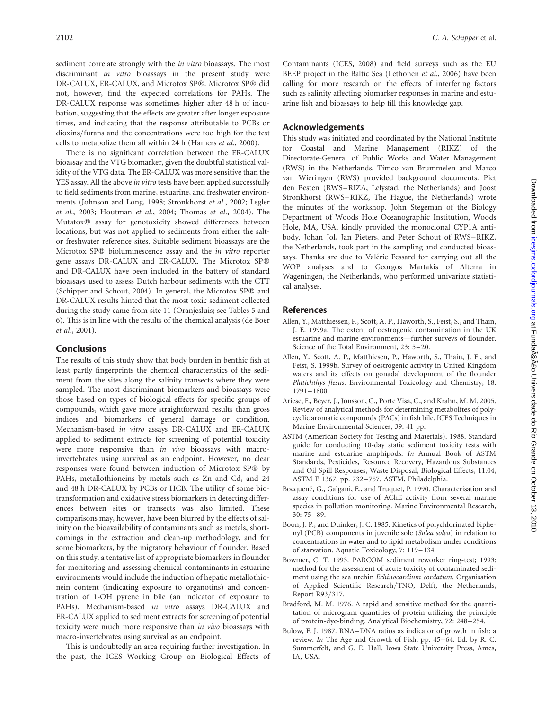sediment correlate strongly with the in vitro bioassays. The most discriminant in vitro bioassays in the present study were DR-CALUX, ER-CALUX, and Microtox SP®. Microtox SP® did not, however, find the expected correlations for PAHs. The DR-CALUX response was sometimes higher after 48 h of incubation, suggesting that the effects are greater after longer exposure times, and indicating that the response attributable to PCBs or dioxins/furans and the concentrations were too high for the test cells to metabolize them all within 24 h (Hamers et al., 2000).

There is no significant correlation between the ER-CALUX bioassay and the VTG biomarker, given the doubtful statistical validity of the VTG data. The ER-CALUX was more sensitive than the YES assay. All the above in vitro tests have been applied successfully to field sediments from marine, estuarine, and freshwater environments (Johnson and Long, 1998; Stronkhorst et al., 2002; Legler et al., 2003; Houtman et al., 2004; Thomas et al., 2004). The Mutatox<sup>®</sup> assay for genotoxicity showed differences between locations, but was not applied to sediments from either the saltor freshwater reference sites. Suitable sediment bioassays are the Microtox SP® bioluminescence assay and the *in vitro* reporter gene assays DR-CALUX and ER-CALUX. The Microtox SP® and DR-CALUX have been included in the battery of standard bioassays used to assess Dutch harbour sediments with the CTT (Schipper and Schout, 2004). In general, the Microtox  $SP@$  and DR-CALUX results hinted that the most toxic sediment collected during the study came from site 11 (Oranjesluis; see Tables 5 and 6). This is in line with the results of the chemical analysis (de Boer et al., 2001).

## Conclusions

The results of this study show that body burden in benthic fish at least partly fingerprints the chemical characteristics of the sediment from the sites along the salinity transects where they were sampled. The most discriminant biomarkers and bioassays were those based on types of biological effects for specific groups of compounds, which gave more straightforward results than gross indices and biomarkers of general damage or condition. Mechanism-based in vitro assays DR-CALUX and ER-CALUX applied to sediment extracts for screening of potential toxicity were more responsive than in vivo bioassays with macroinvertebrates using survival as an endpoint. However, no clear responses were found between induction of Microtox SP® by PAHs, metallothioneins by metals such as Zn and Cd, and 24 and 48 h DR-CALUX by PCBs or HCB. The utility of some biotransformation and oxidative stress biomarkers in detecting differences between sites or transects was also limited. These comparisons may, however, have been blurred by the effects of salinity on the bioavailability of contaminants such as metals, shortcomings in the extraction and clean-up methodology, and for some biomarkers, by the migratory behaviour of flounder. Based on this study, a tentative list of appropriate biomarkers in flounder for monitoring and assessing chemical contaminants in estuarine environments would include the induction of hepatic metallothionein content (indicating exposure to organotins) and concentration of 1-OH pyrene in bile (an indicator of exposure to PAHs). Mechanism-based in vitro assays DR-CALUX and ER-CALUX applied to sediment extracts for screening of potential toxicity were much more responsive than in vivo bioassays with macro-invertebrates using survival as an endpoint.

This is undoubtedly an area requiring further investigation. In the past, the ICES Working Group on Biological Effects of Contaminants (ICES, 2008) and field surveys such as the EU BEEP project in the Baltic Sea (Lethonen et al., 2006) have been calling for more research on the effects of interfering factors such as salinity affecting biomarker responses in marine and estuarine fish and bioassays to help fill this knowledge gap.

## Acknowledgements

This study was initiated and coordinated by the National Institute for Coastal and Marine Management (RIKZ) of the Directorate-General of Public Works and Water Management (RWS) in the Netherlands. Timco van Brummelen and Marco van Wieringen (RWS) provided background documents. Piet den Besten (RWS–RIZA, Lelystad, the Netherlands) and Joost Stronkhorst (RWS–RIKZ, The Hague, the Netherlands) wrote the minutes of the workshop. John Stegeman of the Biology Department of Woods Hole Oceanographic Institution, Woods Hole, MA, USA, kindly provided the monoclonal CYP1A antibody. Johan Jol, Jan Pieters, and Peter Schout of RWS-RIKZ, the Netherlands, took part in the sampling and conducted bioassays. Thanks are due to Valérie Fessard for carrying out all the WOP analyses and to Georgos Martakis of Alterra in Wageningen, the Netherlands, who performed univariate statistical analyses.

## References

- Allen, Y., Matthiessen, P., Scott, A. P., Haworth, S., Feist, S., and Thain, J. E. 1999a. The extent of oestrogenic contamination in the UK estuarine and marine environments—further surveys of flounder. Science of the Total Environment, 23: 5-20.
- Allen, Y., Scott, A. P., Matthiesen, P., Haworth, S., Thain, J. E., and Feist, S. 1999b. Survey of oestrogenic activity in United Kingdom waters and its effects on gonadal development of the flounder Platichthys flesus. Environmental Toxicology and Chemistry, 18: 1791–1800.
- Ariese, F., Beyer, J., Jonsson, G., Porte Visa, C., and Krahn, M. M. 2005. Review of analytical methods for determining metabolites of polycyclic aromatic compounds (PACs) in fish bile. ICES Techniques in Marine Environmental Sciences, 39. 41 pp.
- ASTM (American Society for Testing and Materials). 1988. Standard guide for conducting 10-day static sediment toxicity tests with marine and estuarine amphipods. In Annual Book of ASTM Standards, Pesticides, Resource Recovery, Hazardous Substances and Oil Spill Responses, Waste Disposal, Biological Effects, 11.04, ASTM E 1367, pp. 732–757. ASTM, Philadelphia.
- Bocquené, G., Galgani, E., and Truquet, P. 1990. Characterisation and assay conditions for use of AChE activity from several marine species in pollution monitoring. Marine Environmental Research, 30: 75–89.
- Boon, J. P., and Duinker, J. C. 1985. Kinetics of polychlorinated biphenyl (PCB) components in juvenile sole (Solea solea) in relation to concentrations in water and to lipid metabolism under conditions of starvation. Aquatic Toxicology, 7: 119–134.
- Bowmer, C. T. 1993. PARCOM sediment reworker ring-test; 1993: method for the assessment of acute toxicity of contaminated sediment using the sea urchin Echinocardium cordatum. Organisation of Applied Scientific Research/TNO, Delft, the Netherlands, Report R93/317.
- Bradford, M. M. 1976. A rapid and sensitive method for the quantitation of microgram quantities of protein utilizing the principle of protein-dye-binding. Analytical Biochemistry, 72: 248–254.
- Bulow, F. J. 1987. RNA–DNA ratios as indicator of growth in fish: a review. In The Age and Growth of Fish, pp. 45–64. Ed. by R. C. Summerfelt, and G. E. Hall. Iowa State University Press, Ames, IA, USA.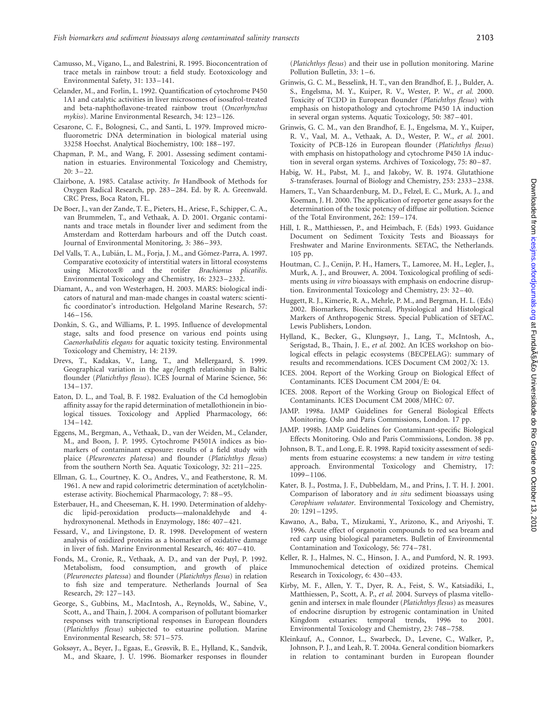- Camusso, M., Vigano, L., and Balestrini, R. 1995. Bioconcentration of trace metals in rainbow trout: a field study. Ecotoxicology and Environmental Safety, 31: 133–141.
- Celander, M., and Forlin, L. 1992. Quantification of cytochrome P450 1A1 and catalytic activities in liver microsomes of isosafrol-treated and beta-naphthoflavone-treated rainbow trout (Oncorhynchus mykiss). Marine Environmental Research, 34: 123–126.
- Cesarone, C. F., Bolognesi, C., and Santi, L. 1979. Improved microfluorometric DNA determination in biological material using 33258 Hoechst. Analytical Biochemistry, 100: 188 –197.
- Chapman, P. M., and Wang, F. 2001. Assessing sediment contamination in estuaries. Environmental Toxicology and Chemistry,  $20: 3 - 22.$
- Clairbone, A. 1985. Catalase activity. In Handbook of Methods for Oxygen Radical Research, pp. 283 –284. Ed. by R. A. Greenwald. CRC Press, Boca Raton, FL.
- De Boer, J., van der Zande, T. E., Pieters, H., Ariese, F., Schipper, C. A., van Brummelen, T., and Vethaak, A. D. 2001. Organic contaminants and trace metals in flounder liver and sediment from the Amsterdam and Rotterdam harbours and off the Dutch coast. Journal of Environmental Monitoring, 3: 386–393.
- Del Valls, T. A., Lubián, L. M., Forja, J. M., and Gómez-Parra, A. 1997. Comparative ecotoxicity of interstitial waters in littoral ecosystems using Microtox® and the rotifer Brachionus plicatilis. Environmental Toxicology and Chemistry, 16: 2323–2332.
- Diamant, A., and von Westerhagen, H. 2003. MARS: biological indicators of natural and man-made changes in coastal waters: scientific coordinator's introduction. Helgoland Marine Research, 57: 146–156.
- Donkin, S. G., and Williams, P. L. 1995. Influence of developmental stage, salts and food presence on various end points using Caenorhabditis elegans for aquatic toxicity testing. Environmental Toxicology and Chemistry, 14: 2139.
- Drevs, T., Kadakas, V., Lang, T., and Mellergaard, S. 1999. Geographical variation in the age/length relationship in Baltic flounder (Platichthys flesus). ICES Journal of Marine Science, 56: 134–137.
- Eaton, D. L., and Toal, B. F. 1982. Evaluation of the Cd hemoglobin affinity assay for the rapid determination of metallothionein in biological tissues. Toxicology and Applied Pharmacology, 66: 134–142.
- Eggens, M., Bergman, A., Vethaak, D., van der Weiden, M., Celander, M., and Boon, J. P. 1995. Cytochrome P4501A indices as biomarkers of contaminant exposure: results of a field study with plaice (Pleuronectes platessa) and flounder (Platichthys flesus) from the southern North Sea. Aquatic Toxicology, 32: 211 –225.
- Ellman, G. L., Courtney, K. O., Andres, V., and Featherstone, R. M. 1961. A new and rapid colorimetric determination of acetylcholinesterase activity. Biochemical Pharmacology, 7: 88 –95.
- Esterbauer, H., and Cheeseman, K. H. 1990. Determination of aldehydic lipid-peroxidation products—malonaldehyde and 4 hydroxynonenal. Methods in Enzymology, 186: 407 –421.
- Fessard, V., and Livingstone, D. R. 1998. Development of western analysis of oxidized proteins as a biomarker of oxidative damage in liver of fish. Marine Environmental Research, 46: 407–410.
- Fonds, M., Cronie, R., Vethaak, A. D., and van der Puyl, P. 1992. Metabolism, food consumption, and growth of plaice (Pleuronectes platessa) and flounder (Platichthys flesus) in relation to fish size and temperature. Netherlands Journal of Sea Research, 29: 127–143.
- George, S., Gubbins, M., MacIntosh, A., Reynolds, W., Sabine, V., Scott, A., and Thain, J. 2004. A comparison of pollutant biomarker responses with transcriptional responses in European flounders (Platichthys flesus) subjected to estuarine pollution. Marine Environmental Research, 58: 571–575.
- Goksøyr, A., Beyer, J., Egaas, E., Grøsvik, B. E., Hylland, K., Sandvik, M., and Skaare, J. U. 1996. Biomarker responses in flounder

(Platichthys flesus) and their use in pollution monitoring. Marine Pollution Bulletin, 33: 1 –6.

- Grinwis, G. C. M., Besselink, H. T., van den Brandhof, E. J., Bulder, A. S., Engelsma, M. Y., Kuiper, R. V., Wester, P. W., et al. 2000. Toxicity of TCDD in European flounder (Platichthys flesus) with emphasis on histopathology and cytochrome P450 1A induction in several organ systems. Aquatic Toxicology, 50: 387 –401.
- Grinwis, G. C. M., van den Brandhof, E. J., Engelsma, M. Y., Kuiper, R. V., Vaal, M. A., Vethaak, A. D., Wester, P. W., et al. 2001. Toxicity of PCB-126 in European flounder (Platichthys flesus) with emphasis on histopathology and cytochrome P450 1A induction in several organ systems. Archives of Toxicology, 75: 80-87.
- Habig, W. H., Pabst, M. J., and Jakoby, W. B. 1974. Glutathione S-transferases. Journal of Biology and Chemistry, 253: 2333–2338.
- Hamers, T., Van Schaardenburg, M. D., Felzel, E. C., Murk, A. J., and Koeman, J. H. 2000. The application of reporter gene assays for the determination of the toxic potency of diffuse air pollution. Science of the Total Environment, 262: 159–174.
- Hill, I. R., Matthiessen, P., and Heimbach, F. (Eds) 1993. Guidance Document on Sediment Toxicity Tests and Bioassays for Freshwater and Marine Environments. SETAC, the Netherlands. 105 pp.
- Houtman, C. J., Cenijn, P. H., Hamers, T., Lamoree, M. H., Legler, J., Murk, A. J., and Brouwer, A. 2004. Toxicological profiling of sediments using *in vitro* bioassays with emphasis on endocrine disruption. Environmental Toxicology and Chemistry, 23: 32 –40.
- Huggett, R. J., Kimerie, R. A., Mehrle, P. M., and Bergman, H. L. (Eds) 2002. Biomarkers, Biochemical, Physiological and Histological Markers of Anthropogenic Stress. Special Publication of SETAC. Lewis Publishers, London.
- Hylland, K., Becker, G., Klungsøyr, J., Lang, T., McIntosh, A., Serigstad, B., Thain, J. E., et al. 2002. An ICES workshop on biological effects in pelagic ecosystems (BECPELAG): summary of results and recommendations. ICES Document CM 2002/X: 13.
- ICES. 2004. Report of the Working Group on Biological Effect of Contaminants. ICES Document CM 2004/E: 04.
- ICES. 2008. Report of the Working Group on Biological Effect of Contaminants. ICES Document CM 2008/MHC: 07.
- JAMP. 1998a. JAMP Guidelines for General Biological Effects Monitoring. Oslo and Paris Commissions, London. 17 pp.
- JAMP. 1998b. JAMP Guidelines for Contaminant-specific Biological Effects Monitoring. Oslo and Paris Commissions, London. 38 pp.
- Johnson, B. T., and Long, E. R. 1998. Rapid toxicity assessment of sediments from estuarine ecosystems: a new tandem in vitro testing approach. Environmental Toxicology and Chemistry, 17: 1099–1106.
- Kater, B. J., Postma, J. F., Dubbeldam, M., and Prins, J. T. H. J. 2001. Comparison of laboratory and in situ sediment bioassays using Corophium volutator. Environmental Toxicology and Chemistry, 20: 1291–1295.
- Kawano, A., Baba, T., Mizukami, Y., Arizono, K., and Ariyoshi, T. 1996. Acute effect of organotin compounds to red sea bream and red carp using biological parameters. Bulletin of Environmental Contamination and Toxicology, 56: 774–781.
- Keller, R. J., Halmes, N. C., Hinson, J. A., and Pumford, N. R. 1993. Immunochemical detection of oxidized proteins. Chemical Research in Toxicology, 6: 430-433.
- Kirby, M. F., Allen, Y. T., Dyer, R. A., Feist, S. W., Katsiadiki, I., Matthiessen, P., Scott, A. P., et al. 2004. Surveys of plasma vitellogenin and intersex in male flounder (Platichthys flesus) as measures of endocrine disruption by estrogenic contamination in United<br>Kingdom estuaries: temporal trends 1996 to 2001 Kingdom estuaries: temporal trends, 1996 to Environmental Toxicology and Chemistry, 23: 748–758.
- Kleinkauf, A., Connor, L., Swarbeck, D., Levene, C., Walker, P., Johnson, P. J., and Leah, R. T. 2004a. General condition biomarkers in relation to contaminant burden in European flounder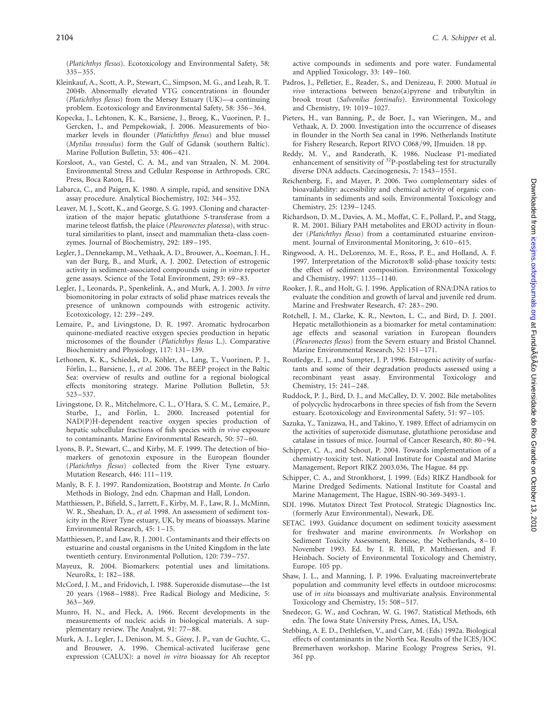(Platichthys flesus). Ecotoxicology and Environmental Safety, 58: 335–355.

- Kleinkauf, A., Scott, A. P., Stewart, C., Simpson, M. G., and Leah, R. T. 2004b. Abnormally elevated VTG concentrations in flounder (Platichthys flesus) from the Mersey Estuary (UK)—a continuing problem. Ecotoxicology and Environmental Safety, 58: 356 –364.
- Kopecka, J., Lehtonen, K. K., Barsiene, J., Broeg, K., Vuorinen, P. J., Gercken, J., and Pempekowiak, J. 2006. Measurements of biomarker levels in flounder (Platichthys flesus) and blue mussel (Mytilus trossulus) form the Gulf of Gdansk (southern Baltic). Marine Pollution Bulletin, 53: 406 –421.
- Korsloot, A., van Gestel, C. A. M., and van Straalen, N. M. 2004. Environmental Stress and Cellular Response in Arthropods. CRC Press, Boca Raton, FL.
- Labarca, C., and Paigen, K. 1980. A simple, rapid, and sensitive DNA assay procedure. Analytical Biochemistry, 102: 344–352.
- Leaver, M. J., Scott, K., and George, S. G. 1993. Cloning and characterization of the major hepatic glutathione S-transferase from a marine teleost flatfish, the plaice (Pleuronectes platessa), with structural similarities to plant, insect and mammalian theta-class coenzymes. Journal of Biochemistry, 292: 189-195.
- Legler, J., Dennekamp, M., Vethaak, A. D., Brouwer, A., Koeman, J. H., van der Burg, B., and Murk, A. J. 2002. Detection of estrogenic activity in sediment-associated compounds using in vitro reporter gene assays. Science of the Total Environment, 293: 69 –83.
- Legler, J., Leonards, P., Spenkelink, A., and Murk, A. J. 2003. In vitro biomonitoring in polar extracts of solid phase matrices reveals the presence of unknown compounds with estrogenic activity. Ecotoxicology, 12: 239 –249.
- Lemaire, P., and Livingstone, D. R. 1997. Aromatic hydrocarbon quinone-mediated reactive oxygen species production in hepatic microsomes of the flounder (Platichthys flesus L.). Comparative Biochemistry and Physiology, 117: 131–139.
- Lethonen, K. K., Schiedek, D., Köhler, A., Lang, T., Vuorinen, P. J., Förlin, L., Barsiene, J., et al. 2006. The BEEP project in the Baltic Sea: overview of results and outline for a regional biological effects monitoring strategy. Marine Pollution Bulletin, 53: 523–537.
- Livingstone, D. R., Mitchelmore, C. L., O'Hara, S. C. M., Lemaire, P., Sturbe, J., and Förlin, L. 2000. Increased potential for NAD(P)H-dependent reactive oxygen species production of hepatic subcellular fractions of fish species with in vivo exposure to contaminants. Marine Environmental Research, 50: 57 –60.
- Lyons, B. P., Stewart, C., and Kirby, M. F. 1999. The detection of biomarkers of genotoxin exposure in the European flounder (Platichthys flesus) collected from the River Tyne estuary. Mutation Research, 446: 111–119.
- Manly, B. F. J. 1997. Randomization, Bootstrap and Monte. In Carlo Methods in Biology, 2nd edn. Chapman and Hall, London.
- Matthiessen, P., Bifield, S., Jarrett, F., Kirby, M. F., Law, R. J., McMinn, W. R., Sheahan, D. A., et al. 1998. An assessment of sediment toxicity in the River Tyne estuary, UK, by means of bioassays. Marine Environmental Research, 45: 1–15.
- Matthiessen, P., and Law, R. J. 2001. Contaminants and their effects on estuarine and coastal organisms in the United Kingdom in the late twentieth century. Environmental Pollution, 120: 739–757.
- Mayeux, R. 2004. Biomarkers: potential uses and limitations. NeuroRx, 1: 182–188.
- McCord, J. M., and Fridovich, I. 1988. Superoxide dismutase—the 1st 20 years (1968–1988). Free Radical Biology and Medicine, 5: 363–369.
- Munro, H. N., and Fleck, A. 1966. Recent developments in the measurements of nucleic acids in biological materials. A supplementary review. The Analyst, 91: 77–88.
- Murk, A. J., Legler, J., Denison, M. S., Giesy, J. P., van de Guchte, C., and Brouwer, A. 1996. Chemical-activated luciferase gene expression (CALUX): a novel in vitro bioassay for Ah receptor

active compounds in sediments and pore water. Fundamental and Applied Toxicology, 33: 149–160.

- Padros, J., Pelletier, E., Reader, S., and Denizeau, F. 2000. Mutual in vivo interactions between benzo(a)pyrene and tributyltin in brook trout (Salvenilus fontinalis). Environmental Toxicology and Chemistry, 19: 1019–1027.
- Pieters, H., van Banning, P., de Boer, J., van Wieringen, M., and Vethaak, A. D. 2000. Investigation into the occurrence of diseases in flounder in the North Sea canal in 1996. Netherlands Institute for Fishery Research, Report RIVO C068/99, IJmuiden. 18 pp.
- Reddy, M. V., and Randerath, K. 1986. Nuclease P1-mediated enhancement of sensitivity of <sup>32</sup>P-postlabeling test for structurally diverse DNA adducts. Carcinogenesis, 7: 1543–1551.
- Reichenberg, F., and Mayer, P. 2006. Two complementary sides of bioavailability: accessibility and chemical activity of organic contaminants in sediments and soils. Environmental Toxicology and Chemistry, 25: 1239–1245.
- Richardson, D. M., Davies, A. M., Moffat, C. F., Pollard, P., and Stagg, R. M. 2001. Biliary PAH metabolites and EROD activity in flounder (Platichthys flesus) from a contaminated estuarine environment. Journal of Environmental Monitoring, 3: 610-615.
- Ringwood, A. H., DeLorenzo, M. E., Ross, P. E., and Holland, A. F. 1997. Interpretation of the Microtox® solid-phase toxicity tests: the effect of sediment composition. Environmental Toxicology and Chemistry, 1997: 1135–1140.
- Rooker, J. R., and Holt, G. J. 1996. Application of RNA:DNA ratios to evaluate the condition and growth of larval and juvenile red drum. Marine and Freshwater Research, 47: 283–290.
- Rotchell, J. M., Clarke, K. R., Newton, L. C., and Bird, D. J. 2001. Hepatic metallothionein as a biomarker for metal contamination: age effects and seasonal variation in European flounders (Pleuronectes flesus) from the Severn estuary and Bristol Channel. Marine Environmental Research, 52: 151 –171.
- Routledge, E. J., and Sumpter, J. P. 1996. Estrogenic activity of surfactants and some of their degradation products assessed using a recombinant yeast assay. Environmental Toxicology and Chemistry, 15: 241–248.
- Ruddock, P. J., Bird, D. J., and McCalley, D. V. 2002. Bile metabolites of polycyclic hydrocarbons in three species of fish from the Severn estuary. Ecotoxicology and Environmental Safety, 51: 97–105.
- Sazuka, Y., Tanizawa, H., and Takino, Y. 1989. Effect of adriamycin on the activities of superoxide dismutase, glutathione peroxidase and catalase in tissues of mice. Journal of Cancer Research, 80: 80–94.
- Schipper, C. A., and Schout, P. 2004. Towards implementation of a chemistry-toxicity test. National Institute for Coastal and Marine Management, Report RIKZ 2003.036, The Hague. 84 pp.
- Schipper, C. A., and Stronkhorst, J. 1999. (Eds) RIKZ Handbook for Marine Dredged Sediments. National Institute for Coastal and Marine Management, The Hague, ISBN-90-369-3493-1.
- SDI. 1996. Mutatox Direct Test Protocol. Strategic Diagnostics Inc. (formerly Azur Environmental), Newark, DE.
- SETAC. 1993. Guidance document on sediment toxicity assessment for freshwater and marine environments. In Workshop on Sediment Toxicity Assessment, Renesse, the Netherlands, 8-10 November 1993. Ed. by I. R. Hill, P. Matthiessen, and F. Heinbach. Society of Environmental Toxicology and Chemistry, Europe. 105 pp.
- Shaw, J. L., and Manning, J. P. 1996. Evaluating macroinvertebrate population and community level effects in outdoor microcosms: use of in situ bioassays and multivariate analysis. Environmental Toxicology and Chemistry, 15: 508–517.
- Snedecor, G. W., and Cochran, W. G. 1967. Statistical Methods, 6th edn. The Iowa State University Press, Ames, IA, USA.
- Stebbing, A. E. D., Dethlefsen, V., and Carr, M. (Eds) 1992a. Biological effects of contaminants in the North Sea. Results of the ICES/IOC Bremerhaven workshop. Marine Ecology Progress Series, 91. 361 pp.